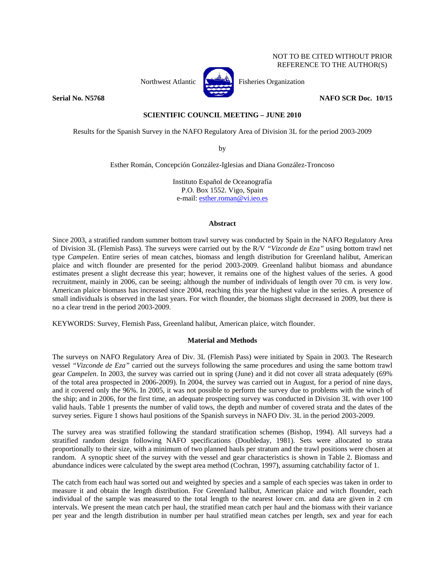# NOT TO BE CITED WITHOUT PRIOR REFERENCE TO THE AUTHOR(S)



Northwest Atlantic Fisheries Organization

**Serial No. N5768** NAFO SCR Doc. 10/15

# **SCIENTIFIC COUNCIL MEETING – JUNE 2010**

Results for the Spanish Survey in the NAFO Regulatory Area of Division 3L for the period 2003-2009

by

Esther Román, Concepción González-Iglesias and Diana González-Troncoso

Instituto Español de Oceanografía P.O. Box 1552. Vigo, Spain e-mail: esther.roman@vi.ieo.es

# **Abstract**

Since 2003, a stratified random summer bottom trawl survey was conducted by Spain in the NAFO Regulatory Area of Division 3L (Flemish Pass). The surveys were carried out by the R/V *"Vizconde de Eza"* using bottom trawl net type *Campelen*. Entire series of mean catches, biomass and length distribution for Greenland halibut, American plaice and witch flounder are presented for the period 2003-2009. Greenland halibut biomass and abundance estimates present a slight decrease this year; however, it remains one of the highest values of the series. A good recruitment, mainly in 2006, can be seeing; although the number of individuals of length over 70 cm. is very low. American plaice biomass has increased since 2004, reaching this year the highest value in the series. A presence of small individuals is observed in the last years. For witch flounder, the biomass slight decreased in 2009, but there is no a clear trend in the period 2003-2009.

KEYWORDS: Survey, Flemish Pass, Greenland halibut, American plaice, witch flounder.

# **Material and Methods**

The surveys on NAFO Regulatory Area of Div. 3L (Flemish Pass) were initiated by Spain in 2003. The Research vessel *"Vizconde de Eza"* carried out the surveys following the same procedures and using the same bottom trawl gear *Campelen*. In 2003, the survey was carried out in spring (June) and it did not cover all strata adequately (69% of the total area prospected in 2006-2009). In 2004, the survey was carried out in August, for a period of nine days, and it covered only the 96%. In 2005, it was not possible to perform the survey due to problems with the winch of the ship; and in 2006, for the first time, an adequate prospecting survey was conducted in Division 3L with over 100 valid hauls. Table 1 presents the number of valid tows, the depth and number of covered strata and the dates of the survey series. Figure 1 shows haul positions of the Spanish surveys in NAFO Div. 3L in the period 2003-2009.

The survey area was stratified following the standard stratification schemes (Bishop, 1994). All surveys had a stratified random design following NAFO specifications (Doubleday, 1981). Sets were allocated to strata proportionally to their size, with a minimum of two planned hauls per stratum and the trawl positions were chosen at random. A synoptic sheet of the survey with the vessel and gear characteristics is shown in Table 2. Biomass and abundance indices were calculated by the swept area method (Cochran, 1997), assuming catchability factor of 1.

The catch from each haul was sorted out and weighted by species and a sample of each species was taken in order to measure it and obtain the length distribution. For Greenland halibut, American plaice and witch flounder, each individual of the sample was measured to the total length to the nearest lower cm. and data are given in 2 cm intervals. We present the mean catch per haul, the stratified mean catch per haul and the biomass with their variance per year and the length distribution in number per haul stratified mean catches per length, sex and year for each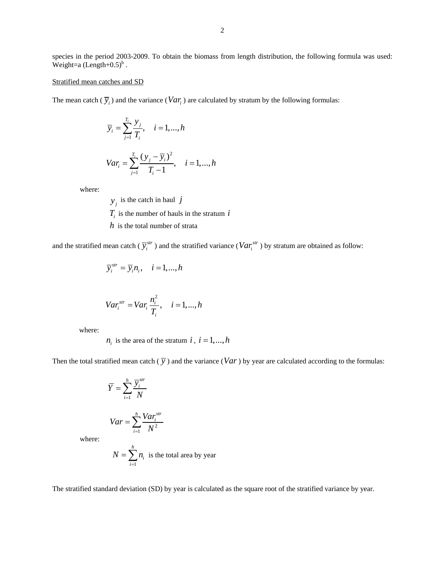species in the period 2003-2009. To obtain the biomass from length distribution, the following formula was used: Weight=a  $(Length+0.5)^b$ .

## Stratified mean catches and SD

The mean catch  $(\overline{y}_i)$  and the variance  $(Var_i)$  are calculated by stratum by the following formulas:

$$
\overline{y}_i = \sum_{j=1}^{T_i} \frac{y_j}{T_i}, \quad i = 1, ..., h
$$
  

$$
Var_i = \sum_{j=1}^{T_i} \frac{(y_j - \overline{y}_i)^2}{T_i - 1}, \quad i = 1, ..., h
$$

where:

 $y_j$  is the catch in haul *j*  $T_i$  is the number of hauls in the stratum  $i$ *h* is the total number of strata

and the stratified mean catch ( $\overline{y}_i^{str}$ ) and the stratified variance ( $Var_i^{str}$ ) by stratum are obtained as follow:

$$
\overline{y}_i^{str} = \overline{y}_i n_i, \quad i = 1, ..., h
$$

$$
Var_i^{str} = Var_i \frac{n_i^2}{T_i}, \quad i = 1, \dots, h
$$

where:

 $n_i$  is the area of the stratum *i*,  $i = 1, ..., h$ 

Then the total stratified mean catch  $(\overline{y})$  and the variance  $(Var)$  by year are calculated according to the formulas:

$$
\overline{Y} = \sum_{i=1}^{h} \frac{\overline{Y}_{i}^{str}}{N}
$$
  
 
$$
Var = \sum_{i=1}^{h} \frac{Var_{i}^{str}}{N^{2}}
$$
  
where:

where:

$$
N = \sum_{i=1}^{h} n_i
$$
 is the total area by year

The stratified standard deviation (SD) by year is calculated as the square root of the stratified variance by year.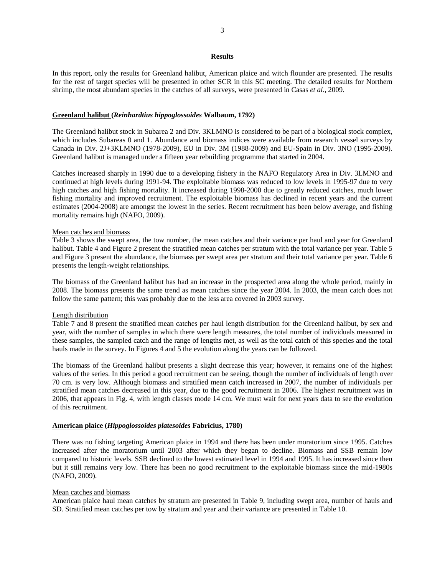### **Results**

In this report, only the results for Greenland halibut, American plaice and witch flounder are presented. The results for the rest of target species will be presented in other SCR in this SC meeting. The detailed results for Northern shrimp, the most abundant species in the catches of all surveys, were presented in Casas *et al*., 2009.

## **Greenland halibut (***Reinhardtius hippoglossoides* **Walbaum, 1792)**

The Greenland halibut stock in Subarea 2 and Div. 3KLMNO is considered to be part of a biological stock complex, which includes Subareas 0 and 1. Abundance and biomass indices were available from research vessel surveys by Canada in Div. 2J+3KLMNO (1978-2009), EU in Div. 3M (1988-2009) and EU-Spain in Div. 3NO (1995-2009). Greenland halibut is managed under a fifteen year rebuilding programme that started in 2004.

Catches increased sharply in 1990 due to a developing fishery in the NAFO Regulatory Area in Div. 3LMNO and continued at high levels during 1991-94. The exploitable biomass was reduced to low levels in 1995-97 due to very high catches and high fishing mortality. It increased during 1998-2000 due to greatly reduced catches, much lower fishing mortality and improved recruitment. The exploitable biomass has declined in recent years and the current estimates (2004-2008) are amongst the lowest in the series. Recent recruitment has been below average, and fishing mortality remains high (NAFO, 2009).

#### Mean catches and biomass

Table 3 shows the swept area, the tow number, the mean catches and their variance per haul and year for Greenland halibut. Table 4 and Figure 2 present the stratified mean catches per stratum with the total variance per year. Table 5 and Figure 3 present the abundance, the biomass per swept area per stratum and their total variance per year. Table 6 presents the length-weight relationships.

The biomass of the Greenland halibut has had an increase in the prospected area along the whole period, mainly in 2008. The biomass presents the same trend as mean catches since the year 2004. In 2003, the mean catch does not follow the same pattern; this was probably due to the less area covered in 2003 survey.

#### Length distribution

Table 7 and 8 present the stratified mean catches per haul length distribution for the Greenland halibut, by sex and year, with the number of samples in which there were length measures, the total number of individuals measured in these samples, the sampled catch and the range of lengths met, as well as the total catch of this species and the total hauls made in the survey. In Figures 4 and 5 the evolution along the years can be followed.

The biomass of the Greenland halibut presents a slight decrease this year; however, it remains one of the highest values of the series. In this period a good recruitment can be seeing, though the number of individuals of length over 70 cm. is very low. Although biomass and stratified mean catch increased in 2007, the number of individuals per stratified mean catches decreased in this year, due to the good recruitment in 2006. The highest recruitment was in 2006, that appears in Fig. 4, with length classes mode 14 cm. We must wait for next years data to see the evolution of this recruitment.

### **American plaice (***Hippoglossoides platesoides* **Fabricius, 1780)**

There was no fishing targeting American plaice in 1994 and there has been under moratorium since 1995. Catches increased after the moratorium until 2003 after which they began to decline. Biomass and SSB remain low compared to historic levels. SSB declined to the lowest estimated level in 1994 and 1995. It has increased since then but it still remains very low. There has been no good recruitment to the exploitable biomass since the mid-1980s (NAFO, 2009).

## Mean catches and biomass

American plaice haul mean catches by stratum are presented in Table 9, including swept area, number of hauls and SD. Stratified mean catches per tow by stratum and year and their variance are presented in Table 10.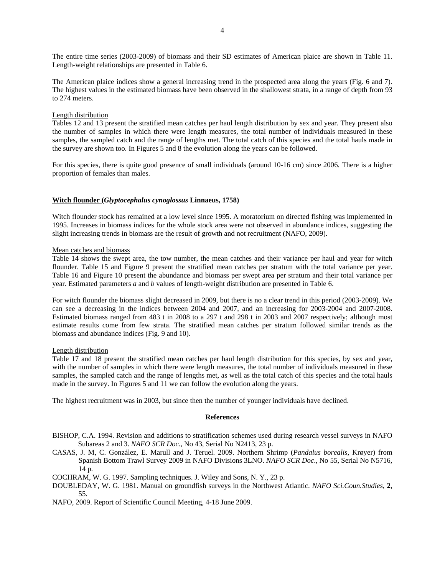The entire time series (2003-2009) of biomass and their SD estimates of American plaice are shown in Table 11. Length-weight relationships are presented in Table 6.

The American plaice indices show a general increasing trend in the prospected area along the years (Fig. 6 and 7). The highest values in the estimated biomass have been observed in the shallowest strata, in a range of depth from 93 to 274 meters.

# Length distribution

Tables 12 and 13 present the stratified mean catches per haul length distribution by sex and year. They present also the number of samples in which there were length measures, the total number of individuals measured in these samples, the sampled catch and the range of lengths met. The total catch of this species and the total hauls made in the survey are shown too. In Figures 5 and 8 the evolution along the years can be followed.

For this species, there is quite good presence of small individuals (around 10-16 cm) since 2006. There is a higher proportion of females than males.

# **Witch flounder (***Glyptocephalus cynoglossus* **Linnaeus, 1758)**

Witch flounder stock has remained at a low level since 1995. A moratorium on directed fishing was implemented in 1995. Increases in biomass indices for the whole stock area were not observed in abundance indices, suggesting the slight increasing trends in biomass are the result of growth and not recruitment (NAFO, 2009).

# Mean catches and biomass

Table 14 shows the swept area, the tow number, the mean catches and their variance per haul and year for witch flounder. Table 15 and Figure 9 present the stratified mean catches per stratum with the total variance per year. Table 16 and Figure 10 present the abundance and biomass per swept area per stratum and their total variance per year. Estimated parameters *a* and *b* values of length-weight distribution are presented in Table 6.

For witch flounder the biomass slight decreased in 2009, but there is no a clear trend in this period (2003-2009). We can see a decreasing in the indices between 2004 and 2007, and an increasing for 2003-2004 and 2007-2008. Estimated biomass ranged from 483 t in 2008 to a 297 t and 298 t in 2003 and 2007 respectively; although most estimate results come from few strata. The stratified mean catches per stratum followed similar trends as the biomass and abundance indices (Fig. 9 and 10).

# Length distribution

Table 17 and 18 present the stratified mean catches per haul length distribution for this species, by sex and year, with the number of samples in which there were length measures, the total number of individuals measured in these samples, the sampled catch and the range of lengths met, as well as the total catch of this species and the total hauls made in the survey. In Figures 5 and 11 we can follow the evolution along the years.

The highest recruitment was in 2003, but since then the number of younger individuals have declined.

# **References**

- BISHOP, C.A. 1994. Revision and additions to stratification schemes used during research vessel surveys in NAFO Subareas 2 and 3. *NAFO SCR Doc*., No 43, Serial No N2413, 23 p.
- CASAS, J. M, C. González, E. Marull and J. Teruel. 2009. Northern Shrimp (*Pandalus borealis*, Krøyer) from Spanish Bottom Trawl Survey 2009 in NAFO Divisions 3LNO. *NAFO SCR Doc*., No 55, Serial No N5716, 14 p.
- COCHRAM, W. G. 1997. Sampling techniques. J. Wiley and Sons, N. Y., 23 p.
- DOUBLEDAY, W. G. 1981. Manual on groundfish surveys in the Northwest Atlantic. *NAFO Sci.Coun.Studies*, **2**, 55.
- NAFO, 2009. Report of Scientific Council Meeting, 4-18 June 2009.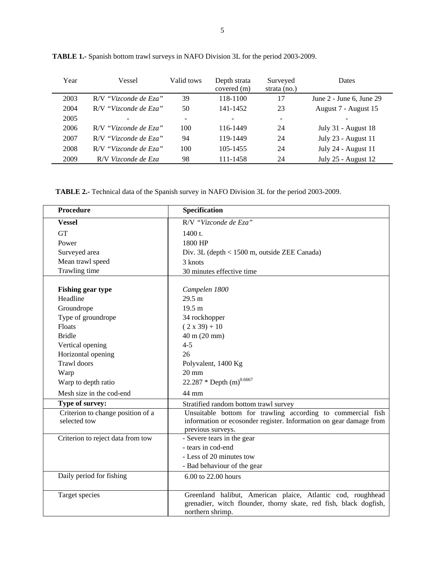| Year | Vessel                | Valid tows               | Depth strata<br>covered (m) | Surveyed<br>strata $(no.)$ | <b>Dates</b>               |
|------|-----------------------|--------------------------|-----------------------------|----------------------------|----------------------------|
| 2003 | R/V "Vizconde de Eza" | 39                       | 118-1100                    | 17                         | June $2$ - June 6, June 29 |
| 2004 | R/V "Vizconde de Eza" | 50                       | 141-1452                    | 23                         | August 7 - August 15       |
| 2005 |                       | $\overline{\phantom{0}}$ |                             | $\overline{\phantom{a}}$   |                            |
| 2006 | R/V "Vizconde de Eza" | 100                      | 116-1449                    | 24                         | July 31 - August 18        |
| 2007 | R/V "Vizconde de Eza" | 94                       | 119-1449                    | 24                         | July 23 - August 11        |
| 2008 | R/V "Vizconde de Eza" | 100                      | 105-1455                    | 24                         | July 24 - August 11        |
| 2009 | R/V Vizconde de Eza   | 98                       | 111-1458                    | 24                         | July 25 - August 12        |

**TABLE 1.-** Spanish bottom trawl surveys in NAFO Division 3L for the period 2003-2009.

**TABLE 2.-** Technical data of the Spanish survey in NAFO Division 3L for the period 2003-2009.

| <b>Procedure</b>                                  | <b>Specification</b>                                                                                                                                   |
|---------------------------------------------------|--------------------------------------------------------------------------------------------------------------------------------------------------------|
| <b>Vessel</b>                                     | R/V "Vizconde de Eza"                                                                                                                                  |
| <b>GT</b>                                         | $1400$ t.                                                                                                                                              |
| Power                                             | 1800 HP                                                                                                                                                |
| Surveyed area                                     | Div. 3L (depth < 1500 m, outside ZEE Canada)                                                                                                           |
| Mean trawl speed                                  | 3 knots                                                                                                                                                |
| Trawling time                                     | 30 minutes effective time                                                                                                                              |
| <b>Fishing gear type</b>                          | Campelen 1800                                                                                                                                          |
| Headline                                          | 29.5 m                                                                                                                                                 |
| Groundrope                                        | 19.5 <sub>m</sub>                                                                                                                                      |
| Type of groundrope                                | 34 rockhopper                                                                                                                                          |
| Floats                                            | $(2 x 39) + 10$                                                                                                                                        |
| <b>Bridle</b>                                     | 40 m (20 mm)                                                                                                                                           |
| Vertical opening                                  | $4 - 5$                                                                                                                                                |
| Horizontal opening                                | 26                                                                                                                                                     |
| <b>Trawl</b> doors                                | Polyvalent, 1400 Kg                                                                                                                                    |
| Warp                                              | $20 \text{ mm}$                                                                                                                                        |
| Warp to depth ratio                               | 22.287 * Depth $(m)^{0.6667}$                                                                                                                          |
| Mesh size in the cod-end                          | 44 mm                                                                                                                                                  |
| Type of survey:                                   | Stratified random bottom trawl survey                                                                                                                  |
| Criterion to change position of a<br>selected tow | Unsuitable bottom for trawling according to commercial fish<br>information or ecosonder register. Information on gear damage from<br>previous surveys. |
| Criterion to reject data from tow                 | - Severe tears in the gear                                                                                                                             |
|                                                   | - tears in cod-end                                                                                                                                     |
|                                                   | - Less of 20 minutes tow                                                                                                                               |
|                                                   | - Bad behaviour of the gear                                                                                                                            |
| Daily period for fishing                          | 6.00 to 22.00 hours                                                                                                                                    |
| Target species                                    | Greenland halibut, American plaice, Atlantic cod, roughhead<br>grenadier, witch flounder, thorny skate, red fish, black dogfish,<br>northern shrimp.   |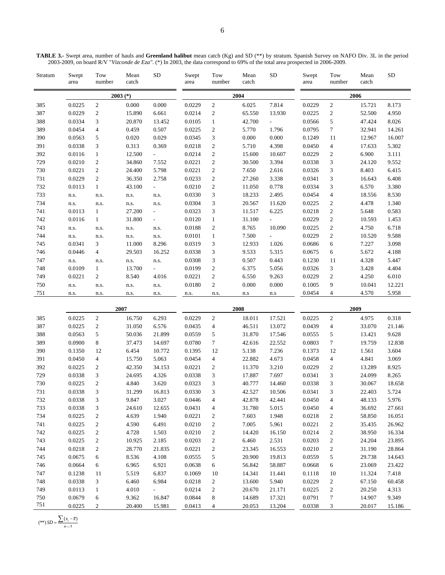| Stratum | Swept<br>area | Tow<br>number  | Mean<br>catch | <b>SD</b>                 | Swept<br>area | Tow<br>number    | Mean<br>catch | <b>SD</b>                | Swept<br>area | Tow<br>number  | Mean<br>catch | <b>SD</b> |  |
|---------|---------------|----------------|---------------|---------------------------|---------------|------------------|---------------|--------------------------|---------------|----------------|---------------|-----------|--|
|         |               |                | $2003$ (*)    |                           |               |                  | 2004          |                          | 2006          |                |               |           |  |
| 385     | 0.0225        | 2              | 0.000         | 0.000                     | 0.0229        | $\mathbf{2}$     | 6.025         | 7.814                    | 0.0229        | $\overline{c}$ | 15.721        | 8.173     |  |
| 387     | 0.0229        | $\overline{c}$ | 15.890        | 6.661                     | 0.0214        | $\boldsymbol{2}$ | 65.550        | 13.930                   | 0.0225        | $\overline{c}$ | 52.500        | 4.950     |  |
| 388     | 0.0334        | 3              | 20.870        | 13.452                    | 0.0105        | 1                | 42.700        | $\overline{\phantom{0}}$ | 0.0566        | 5              | 47.424        | 8.026     |  |
| 389     | 0.0454        | $\overline{4}$ | 0.459         | 0.507                     | 0.0225        | $\boldsymbol{2}$ | 5.770         | 1.796                    | 0.0795        | 7              | 32.941        | 14.261    |  |
| 390     | 0.0563        | 5              | 0.020         | 0.029                     | 0.0345        | 3                | 0.000         | 0.000                    | 0.1249        | 11             | 12.967        | 16.007    |  |
| 391     | 0.0338        | 3              | 0.313         | 0.369                     | 0.0218        | $\boldsymbol{2}$ | 5.710         | 4.398                    | 0.0450        | 4              | 17.633        | 5.302     |  |
| 392     | 0.0116        |                | 12.500        | $\overline{\phantom{a}}$  | 0.0214        | $\overline{c}$   | 15.600        | 10.607                   | 0.0229        | $\overline{c}$ | 6.900         | 3.111     |  |
| 729     | 0.0210        | $\overline{c}$ | 34.860        | 7.552                     | 0.0221        | $\boldsymbol{2}$ | 30.500        | 3.394                    | 0.0338        | 3              | 24.120        | 9.552     |  |
| 730     | 0.0221        | $\overline{c}$ | 24.400        | 5.798                     | 0.0221        | 2                | 7.650         | 2.616                    | 0.0326        | 3              | 8.403         | 6.415     |  |
| 731     | 0.0229        | 2              | 36.350        | 2.758                     | 0.0233        | 2                | 27.260        | 3.338                    | 0.0341        | 3              | 16.643        | 6.408     |  |
| 732     | 0.0113        | 1              | 43.100        | $\mathbb{Z}^{\mathbb{Z}}$ | 0.0210        | $\overline{c}$   | 11.050        | 0.778                    | 0.0334        | 3              | 6.570         | 3.380     |  |
| 733     | n.s.          | n.s.           | n.s.          | n.s.                      | 0.0330        | 3                | 18.233        | 2.495                    | 0.0454        | $\overline{4}$ | 18.556        | 8.530     |  |
| 734     | n.s.          | n.s.           | n.s.          | n.s.                      | 0.0304        | 3                | 20.567        | 11.620                   | 0.0225        | $\overline{c}$ | 4.478         | 1.340     |  |
| 741     | 0.0113        |                | 27.200        | $\overline{\phantom{a}}$  | 0.0323        | 3                | 11.517        | 6.225                    | 0.0218        | $\overline{c}$ | 5.648         | 0.583     |  |
| 742     | 0.0116        |                | 31.800        | $\overline{\phantom{a}}$  | 0.0120        | 1                | 31.100        | $\overline{\phantom{a}}$ | 0.0229        | $\overline{c}$ | 10.593        | 1.453     |  |
| 743     | n.s.          | n.s.           | n.s.          | n.s.                      | 0.0188        | $\overline{c}$   | 8.765         | 10.090                   | 0.0225        | $\overline{c}$ | 4.750         | 6.718     |  |
| 744     | n.s.          | n.s.           | n.s.          | n.s.                      | 0.0101        | 1                | 7.500         | $\overline{\phantom{a}}$ | 0.0229        | $\overline{c}$ | 10.520        | 9.588     |  |
| 745     | 0.0341        | 3              | 11.000        | 8.296                     | 0.0319        | 3                | 12.933        | 1.026                    | 0.0686        | 6              | 7.227         | 3.098     |  |
| 746     | 0.0446        | $\overline{4}$ | 29.503        | 16.252                    | 0.0338        | 3                | 9.533         | 5.315                    | 0.0675        | 6              | 5.672         | 4.188     |  |
| 747     | n.s.          | n.s.           | n.s.          | n.s.                      | 0.0308        | 3                | 0.507         | 0.443                    | 0.1230        | 11             | 4.328         | 5.447     |  |
| 748     | 0.0109        | $\mathbf{1}$   | 13.700        | $\sim$                    | 0.0199        | $\overline{c}$   | 6.375         | 5.056                    | 0.0326        | 3              | 3.428         | 4.404     |  |
| 749     | 0.0221        | 2              | 8.540         | 4.016                     | 0.0221        | 2                | 6.550         | 9.263                    | 0.0229        | $\overline{c}$ | 4.250         | 6.010     |  |
| 750     | n.s.          | n.s.           | n.s.          | n.s.                      | 0.0180        | $\overline{c}$   | 0.000         | 0.000                    | 0.1005        | 9              | 10.041        | 12.221    |  |

| <b>TABLE 3.-</b> Swept area, number of hauls and Greenland halibut mean catch (Kg) and SD (**) by stratum. Spanish Survey on NAFO Div. 3L in the period |  |
|---------------------------------------------------------------------------------------------------------------------------------------------------------|--|
| 2003-2009, on board R/V "Vizconde de Eza". (*) In 2003, the data correspond to 69% of the total area prospected in 2006-2009.                           |  |

|     |        |                | 2007   |        |        | 2008           |        |        | 2009   |                |        |        |  |
|-----|--------|----------------|--------|--------|--------|----------------|--------|--------|--------|----------------|--------|--------|--|
| 385 | 0.0225 | $\overline{c}$ | 16.750 | 6.293  | 0.0229 | $\mathfrak{2}$ | 18.011 | 17.521 | 0.0225 | $\mathfrak{2}$ | 4.975  | 0.318  |  |
| 387 | 0.0225 | 2              | 31.050 | 6.576  | 0.0435 | 4              | 46.511 | 13.072 | 0.0439 | 4              | 33.070 | 21.146 |  |
| 388 | 0.0563 | 5              | 50.036 | 21.899 | 0.0559 | 5              | 31.870 | 17.546 | 0.0555 | 5              | 13.421 | 9.628  |  |
| 389 | 0.0900 | 8              | 37.473 | 14.697 | 0.0780 | 7              | 42.616 | 22.552 | 0.0803 | 7              | 19.759 | 12.838 |  |
| 390 | 0.1350 | 12             | 6.454  | 10.772 | 0.1395 | 12             | 5.138  | 7.236  | 0.1373 | 12             | 1.561  | 3.604  |  |
| 391 | 0.0450 | 4              | 15.750 | 5.063  | 0.0454 | 4              | 22.882 | 4.673  | 0.0458 | 4              | 4.841  | 3.069  |  |
| 392 | 0.0225 | 2              | 42.350 | 34.153 | 0.0221 | 2              | 11.370 | 3.210  | 0.0229 | 2              | 13.289 | 8.925  |  |
| 729 | 0.0338 | 3              | 24.695 | 4.326  | 0.0338 | 3              | 17.887 | 7.697  | 0.0341 | 3              | 24.099 | 8.265  |  |
| 730 | 0.0225 | 2              | 4.840  | 3.620  | 0.0323 | 3              | 40.777 | 14.460 | 0.0338 | 3              | 30.067 | 18.658 |  |
| 731 | 0.0338 | 3              | 31.299 | 16.813 | 0.0330 | 3              | 42.527 | 10.506 | 0.0341 | 3              | 22.403 | 5.724  |  |
| 732 | 0.0338 | 3              | 9.847  | 3.027  | 0.0446 | 4              | 42.878 | 42.441 | 0.0450 | 4              | 48.133 | 5.976  |  |
| 733 | 0.0338 | 3              | 24.610 | 12.655 | 0.0431 | 4              | 31.780 | 5.015  | 0.0450 | 4              | 36.692 | 27.661 |  |
| 734 | 0.0225 | 2              | 4.639  | 1.940  | 0.0221 | 2              | 7.603  | 1.948  | 0.0218 | $\overline{c}$ | 58.850 | 16.051 |  |
| 741 | 0.0225 | 2              | 4.590  | 6.491  | 0.0210 | 2              | 7.005  | 5.961  | 0.0221 | 2              | 35.435 | 26.962 |  |
| 742 | 0.0225 | $\overline{c}$ | 4.728  | 1.503  | 0.0210 | $\mathfrak{2}$ | 14.420 | 16.150 | 0.0214 | $\mathfrak{2}$ | 38.950 | 16.334 |  |
| 743 | 0.0225 | 2              | 10.925 | 2.185  | 0.0203 | 2              | 6.460  | 2.531  | 0.0203 | $\overline{c}$ | 24.204 | 23.895 |  |
| 744 | 0.0218 | $\overline{c}$ | 28.770 | 21.835 | 0.0221 | 2              | 23.345 | 16.553 | 0.0210 | 2              | 31.190 | 28.864 |  |
| 745 | 0.0675 | 6              | 8.536  | 4.108  | 0.0555 | 5              | 20.900 | 19.813 | 0.0559 | 5              | 29.738 | 14.643 |  |
| 746 | 0.0664 | 6              | 6.965  | 6.921  | 0.0638 | 6              | 56.842 | 58.887 | 0.0668 | 6              | 23.069 | 23.422 |  |
| 747 | 0.1238 | 11             | 5.519  | 6.837  | 0.1069 | 10             | 14.341 | 11.441 | 0.1118 | 10             | 11.324 | 7.418  |  |
| 748 | 0.0338 | 3              | 6.460  | 6.984  | 0.0218 | 2              | 13.600 | 5.940  | 0.0229 | 2              | 67.150 | 60.458 |  |
| 749 | 0.0113 | $\mathbf{1}$   | 4.010  |        | 0.0214 | $\mathfrak{2}$ | 20.670 | 21.171 | 0.0225 | $\overline{c}$ | 20.250 | 4.313  |  |
| 750 | 0.0679 | 6              | 9.362  | 16.847 | 0.0844 | 8              | 14.689 | 17.321 | 0.0791 | 7              | 14.907 | 9.349  |  |
| 751 | 0.0225 | 2              | 20.400 | 15.981 | 0.0413 | 4              | 20.053 | 13.204 | 0.0338 | 3              | 20.017 | 15.186 |  |

751 n.s. n.s. n.s. n.s. n.s. n.s. n.s n.s 0.0454 4 4.570 5.958

 $(**)$  *SD* =  $\frac{\sum (x_i - \overline{x})}{n-1}$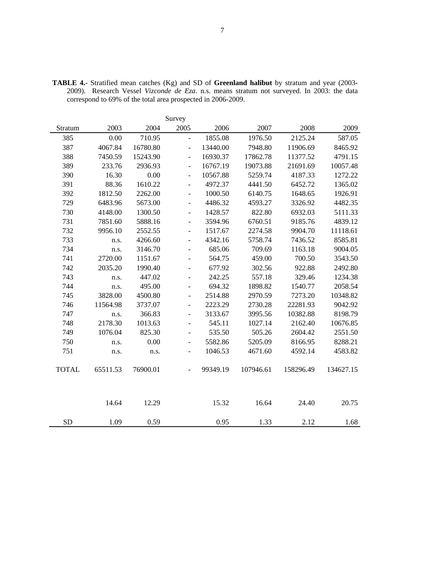|              |          |          | Survey                   |          |           |           |           |
|--------------|----------|----------|--------------------------|----------|-----------|-----------|-----------|
| Stratum      | 2003     | 2004     | 2005                     | 2006     | 2007      | 2008      | 2009      |
| 385          | 0.00     | 710.95   | $\blacksquare$           | 1855.08  | 1976.50   | 2125.24   | 587.05    |
| 387          | 4067.84  | 16780.80 | $\overline{a}$           | 13440.00 | 7948.80   | 11906.69  | 8465.92   |
| 388          | 7450.59  | 15243.90 | $\blacksquare$           | 16930.37 | 17862.78  | 11377.52  | 4791.15   |
| 389          | 233.76   | 2936.93  | $\frac{1}{2}$            | 16767.19 | 19073.88  | 21691.69  | 10057.48  |
| 390          | 16.30    | 0.00     | $\overline{\phantom{0}}$ | 10567.88 | 5259.74   | 4187.33   | 1272.22   |
| 391          | 88.36    | 1610.22  | $\overline{a}$           | 4972.37  | 4441.50   | 6452.72   | 1365.02   |
| 392          | 1812.50  | 2262.00  | $\overline{a}$           | 1000.50  | 6140.75   | 1648.65   | 1926.91   |
| 729          | 6483.96  | 5673.00  | $\overline{a}$           | 4486.32  | 4593.27   | 3326.92   | 4482.35   |
| 730          | 4148.00  | 1300.50  | ÷,                       | 1428.57  | 822.80    | 6932.03   | 5111.33   |
| 731          | 7851.60  | 5888.16  | $\overline{a}$           | 3594.96  | 6760.51   | 9185.76   | 4839.12   |
| 732          | 9956.10  | 2552.55  | $\overline{a}$           | 1517.67  | 2274.58   | 9904.70   | 11118.61  |
| 733          | n.s.     | 4266.60  | $\overline{\phantom{a}}$ | 4342.16  | 5758.74   | 7436.52   | 8585.81   |
| 734          | n.s.     | 3146.70  | $\overline{\phantom{0}}$ | 685.06   | 709.69    | 1163.18   | 9004.05   |
| 741          | 2720.00  | 1151.67  | ۰                        | 564.75   | 459.00    | 700.50    | 3543.50   |
| 742          | 2035.20  | 1990.40  | ÷,                       | 677.92   | 302.56    | 922.88    | 2492.80   |
| 743          | n.s.     | 447.02   |                          | 242.25   | 557.18    | 329.46    | 1234.38   |
| 744          | n.s.     | 495.00   |                          | 694.32   | 1898.82   | 1540.77   | 2058.54   |
| 745          | 3828.00  | 4500.80  |                          | 2514.88  | 2970.59   | 7273.20   | 10348.82  |
| 746          | 11564.98 | 3737.07  | $\overline{\phantom{m}}$ | 2223.29  | 2730.28   | 22281.93  | 9042.92   |
| 747          | n.s.     | 366.83   | $\overline{a}$           | 3133.67  | 3995.56   | 10382.88  | 8198.79   |
| 748          | 2178.30  | 1013.63  | $\overline{\phantom{a}}$ | 545.11   | 1027.14   | 2162.40   | 10676.85  |
| 749          | 1076.04  | 825.30   | $\overline{a}$           | 535.50   | 505.26    | 2604.42   | 2551.50   |
| 750          | n.s.     | 0.00     | $\overline{\phantom{m}}$ | 5582.86  | 5205.09   | 8166.95   | 8288.21   |
| 751          | n.s.     | n.s.     | $\overline{a}$           | 1046.53  | 4671.60   | 4592.14   | 4583.82   |
|              |          |          |                          |          |           |           |           |
| <b>TOTAL</b> | 65511.53 | 76900.01 |                          | 99349.19 | 107946.61 | 158296.49 | 134627.15 |
|              |          |          |                          |          |           |           |           |
|              |          |          |                          |          |           |           |           |
|              |          |          |                          |          |           |           |           |
|              | 14.64    | 12.29    |                          | 15.32    | 16.64     | 24.40     | 20.75     |
| <b>SD</b>    |          |          |                          | 0.95     |           | 2.12      |           |
|              | 1.09     | 0.59     |                          |          | 1.33      |           | 1.68      |

**TABLE 4.-** Stratified mean catches (Kg) and SD of **Greenland halibut** by stratum and year (2003- 2009). Research Vessel *Vizconde de Eza*. n.s. means stratum not surveyed. In 2003: the data correspond to 69% of the total area prospected in 2006-2009.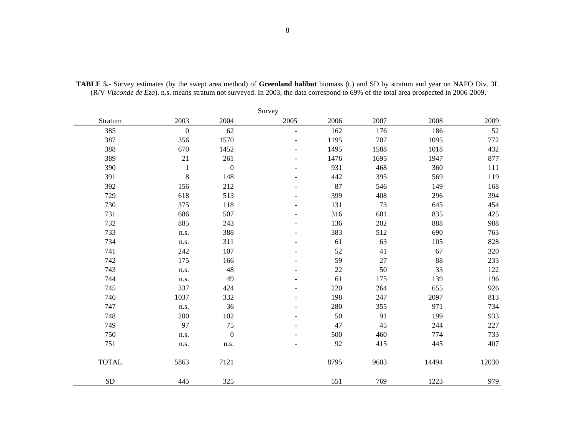|              |                  |                  | Survey |        |      |       |         |
|--------------|------------------|------------------|--------|--------|------|-------|---------|
| Stratum      | 2003             | 2004             | 2005   | 2006   | 2007 | 2008  | 2009    |
| 385          | $\boldsymbol{0}$ | 62               | $\sim$ | 162    | 176  | 186   | 52      |
| 387          | 356              | 1570             |        | 1195   | 707  | 1095  | 772     |
| 388          | 670              | 1452             |        | 1495   | 1588 | 1018  | 432     |
| 389          | 21               | 261              |        | 1476   | 1695 | 1947  | 877     |
| 390          | $\mathbf{1}$     | $\boldsymbol{0}$ |        | 931    | 468  | 360   | 111     |
| 391          | $\,8\,$          | 148              |        | 442    | 395  | 569   | 119     |
| 392          | 156              | 212              |        | 87     | 546  | 149   | 168     |
| 729          | 618              | 513              |        | 399    | 408  | 296   | 394     |
| 730          | 375              | 118              |        | 131    | 73   | 645   | 454     |
| 731          | 686              | 507              |        | 316    | 601  | 835   | 425     |
| 732          | 885              | 243              |        | 136    | 202  | 888   | 988     |
| 733          | n.s.             | 388              |        | 383    | 512  | 690   | 763     |
| 734          | n.s.             | 311              |        | 61     | 63   | 105   | 828     |
| 741          | 242              | 107              |        | 52     | 41   | 67    | 320     |
| 742          | 175              | 166              |        | 59     | 27   | 88    | 233     |
| 743          | n.s.             | 48               |        | $22\,$ | 50   | 33    | 122     |
| 744          | n.s.             | 49               |        | 61     | 175  | 139   | 196     |
| 745          | 337              | 424              |        | 220    | 264  | 655   | 926     |
| 746          | 1037             | 332              |        | 198    | 247  | 2097  | 813     |
| 747          | n.s.             | 36               |        | 280    | 355  | 971   | 734     |
| 748          | 200              | 102              |        | 50     | 91   | 199   | 933     |
| 749          | 97               | 75               |        | 47     | 45   | 244   | $227\,$ |
| 750          | n.s.             | $\boldsymbol{0}$ |        | 500    | 460  | 774   | 733     |
| 751          | n.s.             | n.s.             |        | 92     | 415  | 445   | 407     |
| <b>TOTAL</b> | 5863             | 7121             |        | 8795   | 9603 | 14494 | 12030   |
| ${\rm SD}$   | 445              | 325              |        | 551    | 769  | 1223  | 979     |

**TABLE 5.-** Survey estimates (by the swept area method) of **Greenland halibut** biomass (t.) and SD by stratum and year on NAFO Div. 3L (R/V *Vizconde de Eza*). n.s. means stratum not surveyed. In 2003, the data correspond to 69% of the total area prospected in 2006-2009.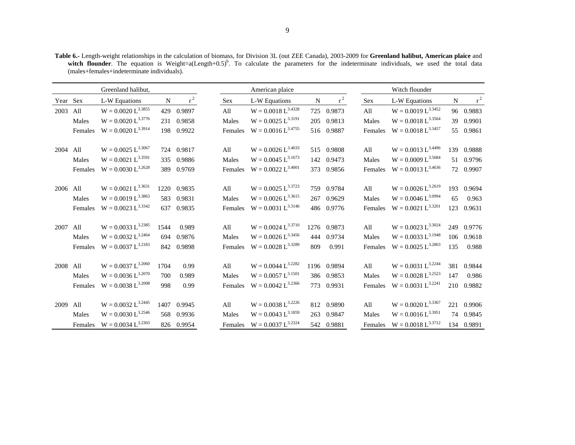**Table 6.-** Length-weight relationships in the calculation of biomass, for Division 3L (out ZEE Canada), 2003-2009 for **Greenland halibut, American plaice** and witch flounder. The equation is Weight=a(Length+0.5)<sup>b</sup>. To calculate the parameters for the indeterminate individuals, we used the total data (males+females+indeterminate individuals).

|          |         | Greenland halibut,      |      |             |         | American plaice                 |             |             |         | Witch flounder          |     |            |
|----------|---------|-------------------------|------|-------------|---------|---------------------------------|-------------|-------------|---------|-------------------------|-----|------------|
| Year Sex |         | L-W Equations           | N    | $r^2$       | Sex     | L-W Equations                   | $\mathbf N$ | $r^2$       | Sex     | L-W Equations           | N   | $r^2$      |
| 2003     | All     | $W = 0.0020 L^{3.3855}$ | 429  | 0.9897      | All     | $W = 0.0018 L^{3.4328}$         |             | 725 0.9873  | All     | $W = 0.0019 L^{3.3452}$ |     | 96 0.9883  |
|          | Males   | $W = 0.0020 L^{3.3776}$ |      | 231 0.9858  | Males   | $W = 0.0025 L^{3.3191}$         |             | 205 0.9813  | Males   | $W = 0.0018 L^{3.3564}$ |     | 39 0.9901  |
|          | Females | $W = 0.0020 L^{3.3914}$ |      | 198 0.9922  | Females | $W = 0.0016 L^{3.4755}$         |             | 516 0.9887  | Females | $W = 0.0018 L^{3.3457}$ |     | 55 0.9861  |
|          |         |                         |      |             |         |                                 |             |             |         |                         |     |            |
| 2004     | All     | $W = 0.0025 L^{3.3067}$ |      | 724 0.9817  | All     | $W = 0.0026 L^{3.4033}$         |             | 515 0.9808  | All     | $W = 0.0013 L^{3.4496}$ |     | 139 0.9888 |
|          | Males   | $W = 0.0021 L^{3.3591}$ |      | 335 0.9886  | Males   | $W = 0.0045 L^{3.1673}$         |             | 142 0.9473  | Males   | $W = 0.0009 L^{3.5684}$ |     | 51 0.9796  |
|          | Females | $W = 0.0030 L^{3.2628}$ |      | 389 0.9769  | Females | $W = 0.0022 L^{3.4001}$         |             | 373 0.9856  | Females | $W = 0.0013 L^{3.4636}$ |     | 72 0.9907  |
|          |         |                         |      |             |         |                                 |             |             |         |                         |     |            |
| 2006 All |         | $W = 0.0021 L^{3.3631}$ |      | 1220 0.9835 | All     | $W = 0.0025 L^{3.3723}$         |             | 759 0.9784  | All     | $W = 0.0026 L^{3.2619}$ |     | 193 0.9694 |
|          | Males   | $W = 0.0019 L^{3.3863}$ |      | 583 0.9831  | Males   | $W = 0.0026 L^{3.3615}$         | 267         | 0.9629      | Males   | $W = 0.0046 L^{3.0994}$ | 65  | 0.963      |
|          | Females | $W = 0.0023 L^{3.3342}$ |      | 637 0.9835  | Females | $W = 0.0031 L^{3.3146}$         |             | 486 0.9776  | Females | $W = 0.0021 L^{3.3201}$ | 123 | 0.9631     |
|          |         |                         |      |             |         |                                 |             |             |         |                         |     |            |
| 2007     | All     | $W = 0.0033 L^{3.2385}$ | 1544 | 0.989       | All     | $W = 0.0024 L^{3.3710}$         |             | 1276 0.9873 | All     | $W = 0.0023 L^{3.3024}$ | 249 | 0.9776     |
|          | Males   | $W = 0.0032 L^{3.2464}$ |      | 694 0.9876  | Males   | $W = 0.0026 L^{3.3456}$         | 444         | 0.9734      | Males   | $W = 0.0033 L^{3.1948}$ |     | 106 0.9618 |
|          | Females | $W = 0.0037 L^{3.2183}$ |      | 842 0.9898  | Females | $W = 0.0028 L^{3.3289}$         | 809         | 0.991       | Females | $W = 0.0025 L^{3.2803}$ | 135 | 0.988      |
|          |         |                         |      |             |         |                                 |             |             |         |                         |     |            |
| 2008     | All     | $W = 0.0037 L^{3.2060}$ | 1704 | 0.99        | All     | $W = 0.0044 L^{3.2282}$         |             | 1196 0.9894 | All     | $W = 0.0031 L^{3.2244}$ |     | 381 0.9844 |
|          | Males   | $W = 0.0036 L^{3.2070}$ | 700  | 0.989       | Males   | $W = 0.0057 L^{3.1501}$         |             | 386 0.9853  | Males   | $W = 0.0028 L^{3.2523}$ | 147 | 0.986      |
|          | Females | $W = 0.0038 L^{3.2008}$ | 998  | 0.99        | Females | $W = 0.0042 L^{3.2366}$         |             | 773 0.9931  | Females | $W = 0.0031 L^{3.2241}$ |     | 210 0.9882 |
|          |         |                         |      |             |         |                                 |             |             |         |                         |     |            |
| 2009     | All     | $W = 0.0032 L^{3.2445}$ | 1407 | 0.9945      | All     | $W = 0.0038 L^{3.2226}$         |             | 812 0.9890  | All     | $W = 0.0020 L^{3.3367}$ |     | 221 0.9906 |
|          | Males   | $W = 0.0030 L^{3.2546}$ | 568  | 0.9936      | Males   | $W = 0.0043 L^{3.1859}$         | 263         | 0.9847      | Males   | $W = 0.0016 L^{3.3951}$ |     | 74 0.9845  |
|          | Females | $W = 0.0034 L^{3.2303}$ |      | 826 0.9954  |         | Females $W = 0.0037 L^{3.2324}$ |             | 542 0.9881  | Females | $W = 0.0018 L^{3.3712}$ |     | 134 0.9891 |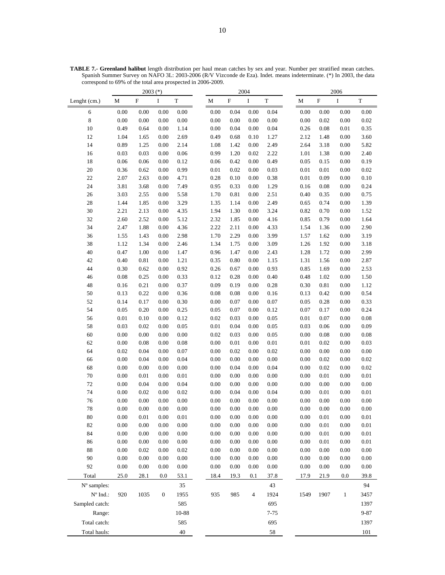|                                 |                  | $2003$ (*)   |                  |              |              | 2004         |              |              | 2006 |                  |                           |              |                  |
|---------------------------------|------------------|--------------|------------------|--------------|--------------|--------------|--------------|--------------|------|------------------|---------------------------|--------------|------------------|
| Lenght (cm.)                    | $\mathbf M$      | $\mathbf F$  | $\bf I$          | $\mathbf T$  | $\mathbf M$  | ${\bf F}$    | $\bf I$      | $\mathbf T$  |      | $\mathbf M$      | $\boldsymbol{\mathrm{F}}$ | $\bf I$      | $\mathbf T$      |
| 6                               | 0.00             | 0.00         | 0.00             | 0.00         | 0.00         | 0.04         | 0.00         | 0.04         |      | 0.00             | 0.00                      | 0.00         | 0.00             |
| $\,$ 8 $\,$                     | $0.00\,$         | 0.00         | 0.00             | $0.00\,$     | 0.00         | 0.00         | 0.00         | $0.00\,$     |      | 0.00             | 0.02                      | 0.00         | 0.02             |
| $10\,$                          | 0.49             | 0.64         | 0.00             | 1.14         | 0.00         | 0.04         | 0.00         | 0.04         |      | 0.26             | 0.08                      | 0.01         | 0.35             |
| 12                              | 1.04             | 1.65         | 0.00             | 2.69         | 0.49         | 0.68         | 0.10         | 1.27         |      | 2.12             | 1.48                      | 0.00         | 3.60             |
| 14                              | 0.89             | 1.25         | 0.00             | 2.14         | 1.08         | 1.42         | 0.00         | 2.49         |      | 2.64             | 3.18                      | 0.00         | 5.82             |
| 16                              | 0.03             | 0.03         | 0.00             | 0.06         | 0.99         | 1.20         | 0.02         | 2.22         |      | 1.01             | 1.38                      | 0.00         | 2.40             |
| 18                              | 0.06             | 0.06         | 0.00             | 0.12         | 0.06         | 0.42         | 0.00         | 0.49         |      | 0.05             | 0.15                      | 0.00         | 0.19             |
| 20                              | 0.36             | 0.62         | 0.00             | 0.99         | 0.01         | 0.02         | 0.00         | 0.03         |      | $0.01\,$         | 0.01                      | 0.00         | 0.02             |
| 22                              | 2.07             | 2.63         | 0.00             | 4.71         | 0.28         | 0.10         | 0.00         | 0.38         |      | $0.01\,$         | 0.09                      | 0.00         | 0.10             |
| 24                              | 3.81             | 3.68         | 0.00             | 7.49         | 0.95         | 0.33         | 0.00         | 1.29         |      | 0.16             | 0.08                      | 0.00         | 0.24             |
| 26                              | 3.03             | 2.55         | 0.00             | 5.58         | 1.70         | 0.81         | 0.00         | 2.51         |      | 0.40             | 0.35                      | 0.00         | 0.75             |
| 28                              | 1.44             | 1.85         | 0.00             | 3.29         | 1.35         | 1.14         | 0.00         | 2.49         |      | 0.65             | 0.74                      | 0.00         | 1.39             |
| 30                              | 2.21             | 2.13         | 0.00             | 4.35         | 1.94         | 1.30         | 0.00         | 3.24         |      | 0.82             | 0.70                      | 0.00         | 1.52             |
| 32                              | 2.60             | 2.52         | 0.00             | 5.12         | 2.32         | 1.85         | 0.00         | 4.16         |      | 0.85             | 0.79                      | 0.00         | 1.64             |
| 34                              | 2.47             | 1.88         | 0.00             | 4.36         | 2.22         | 2.11         | 0.00         | 4.33         |      | 1.54             | 1.36                      | 0.00         | 2.90             |
| 36                              | 1.55             | 1.43         | 0.00             | 2.98         | 1.70         | 2.29         | 0.00         | 3.99         |      | 1.57             | 1.62                      | 0.00         | 3.19             |
| 38                              | 1.12             | 1.34         | 0.00             | 2.46         | 1.34         | 1.75         | 0.00         | 3.09         |      | 1.26             | 1.92                      | 0.00         | 3.18             |
| 40                              | 0.47             | 1.00         | 0.00             | 1.47         | 0.96         | 1.47         | 0.00         | 2.43         |      | 1.28             | 1.72                      | 0.00         | 2.99             |
| 42                              | 0.40             | 0.81         | 0.00             | 1.21         | 0.35         | 0.80         | 0.00         | 1.15         |      | 1.31             | 1.56                      | 0.00         | 2.87             |
| 44                              | 0.30             | 0.62         | 0.00             | 0.92         | 0.26         | 0.67         | 0.00         | 0.93         |      | 0.85             | 1.69                      | 0.00         | 2.53             |
| 46                              | $0.08\,$         | 0.25         | 0.00             | 0.33         | 0.12         | 0.28         | 0.00         | $0.40\,$     |      | 0.48             | 1.02                      | 0.00         | 1.50             |
| 48                              | 0.16             | 0.21         | 0.00             | 0.37         | 0.09         | 0.19         | 0.00         | 0.28         |      | 0.30             | 0.81                      | 0.00         | 1.12             |
| 50                              | 0.13             | 0.22         | 0.00             | 0.36         | 0.08         | 0.08         | 0.00         | 0.16         |      | 0.13             | 0.42                      | 0.00         | 0.54             |
| 52                              | 0.14             | 0.17         | 0.00             | 0.30         | 0.00         | 0.07         | 0.00         | $0.07\,$     |      | 0.05             | 0.28                      | 0.00         | 0.33             |
| 54                              | 0.05<br>$0.01\,$ | 0.20<br>0.10 | 0.00<br>0.00     | 0.25<br>0.12 | 0.05<br>0.02 | 0.07<br>0.03 | 0.00<br>0.00 | 0.12<br>0.05 |      | 0.07<br>$0.01\,$ | 0.17<br>0.07              | 0.00<br>0.00 | 0.24<br>$0.08\,$ |
| 56<br>58                        | 0.03             | 0.02         | 0.00             | 0.05         | 0.01         | 0.04         | 0.00         | 0.05         |      | 0.03             | 0.06                      | 0.00         | 0.09             |
| 60                              | 0.00             | 0.00         | 0.00             | 0.00         | 0.02         | 0.03         | 0.00         | 0.05         |      | 0.00             | 0.08                      | 0.00         | 0.08             |
| 62                              | $0.00\,$         | 0.08         | 0.00             | 0.08         | $0.00\,$     | 0.01         | 0.00         | $0.01\,$     |      | $0.01\,$         | 0.02                      | 0.00         | 0.03             |
| 64                              | 0.02             | 0.04         | 0.00             | 0.07         | 0.00         | 0.02         | 0.00         | 0.02         |      | 0.00             | 0.00                      | 0.00         | 0.00             |
| 66                              | 0.00             | 0.04         | 0.00             | 0.04         | $0.00\,$     | 0.00         | 0.00         | $0.00\,$     |      | $0.00\,$         | 0.02                      | 0.00         | 0.02             |
| 68                              | 0.00             | 0.00         | 0.00             | 0.00         | 0.00         | 0.04         | 0.00         | 0.04         |      | $0.00\,$         | 0.02                      | 0.00         | 0.02             |
| $70\,$                          | 0.00             | 0.01         | 0.00             | 0.01         | 0.00         | 0.00         | 0.00         | 0.00         |      | 0.00             | 0.01                      | 0.00         | $0.01\,$         |
| $72\,$                          | 0.00             | 0.04         | 0.00             | 0.04         | 0.00         | 0.00         | 0.00         | 0.00         |      | $0.00\,$         | 0.00                      | 0.00         | $0.00\,$         |
| 74                              | 0.00             | 0.02         | 0.00             | 0.02         | 0.00         | 0.04         | 0.00         | 0.04         |      | 0.00             | $0.01\,$                  | 0.00         | $0.01\,$         |
| 76                              | 0.00             | 0.00         | 0.00             | 0.00         | $0.00\,$     | 0.00         | 0.00         | 0.00         |      | 0.00             | 0.00                      | 0.00         | 0.00             |
| $78\,$                          | 0.00             | 0.00         | 0.00             | $0.00\,$     | 0.00         | 0.00         | 0.00         | $0.00\,$     |      | 0.00             | $0.00\,$                  | 0.00         | 0.00             |
| $80\,$                          | $0.00\,$         | $0.01\,$     | $0.00\,$         | $0.01\,$     | 0.00         | 0.00         | 0.00         | $0.00\,$     |      | $0.00\,$         | 0.01                      | 0.00         | $0.01\,$         |
| 82                              | $0.00\,$         | 0.00         | $0.00\,$         | $0.00\,$     | 0.00         | 0.00         | 0.00         | $0.00\,$     |      | $0.00\,$         | 0.01                      | 0.00         | 0.01             |
| 84                              | $0.00\,$         | 0.00         | 0.00             | 0.00         | 0.00         | 0.00         | 0.00         | $0.00\,$     |      | 0.00             | 0.01                      | 0.00         | $0.01\,$         |
| 86                              | 0.00             | 0.00         | $0.00\,$         | 0.00         | 0.00         | 0.00         | 0.00         | $0.00\,$     |      | 0.00             | 0.01                      | 0.00         | $0.01\,$         |
| 88                              | 0.00             | 0.02         | 0.00             | 0.02         | 0.00         | 0.00         | 0.00         | 0.00         |      | 0.00             | 0.00                      | 0.00         | 0.00             |
| $90\,$                          | 0.00             | $0.00\,$     | 0.00             | 0.00         | 0.00         | 0.00         | 0.00         | $0.00\,$     |      | 0.00             | 0.00                      | 0.00         | 0.00             |
| 92                              | $0.00\,$         | $0.00\,$     | 0.00             | $0.00\,$     | 0.00         | 0.00         | 0.00         | $0.00\,$     |      | 0.00             | 0.00                      | 0.00         | $0.00\,$         |
| Total                           | 25.0             | 28.1         | 0.0              | 53.1         | 18.4         | 19.3         | 0.1          | 37.8         |      | 17.9             | 21.9                      | 0.0          | 39.8             |
| N° samples:                     |                  |              |                  | 35           |              |              |              | 43           |      |                  |                           |              | 94               |
| $\mathrm{N}^{\mathrm{o}}$ Ind.: | 920              | 1035         | $\boldsymbol{0}$ | 1955         | 935          | 985          | 4            | 1924         |      | 1549             | 1907                      | $\mathbf{1}$ | 3457             |
| Sampled catch:                  |                  |              |                  | 585          |              |              |              | 695          |      |                  |                           |              | 1397             |
| Range:                          |                  |              |                  | 10-88        |              |              |              | $7 - 75$     |      |                  |                           |              | $9 - 87$         |
| Total catch:                    |                  |              |                  | 585          |              |              |              | 695          |      |                  |                           |              | 1397             |
|                                 |                  |              |                  |              |              |              |              |              |      |                  |                           |              |                  |
| Total hauls:                    |                  |              |                  | 40           |              |              |              | 58           |      |                  |                           |              | 101              |

**TABLE 7.- Greenland halibut** length distribution per haul mean catches by sex and year. Number per stratified mean catches. Spanish Summer Survey on NAFO 3L: 2003-2006 (R/V Vizconde de Eza). Indet. means indeterminate. (\*) In 2003, the data correspond to 69% of the total area prospected in 2006-2009.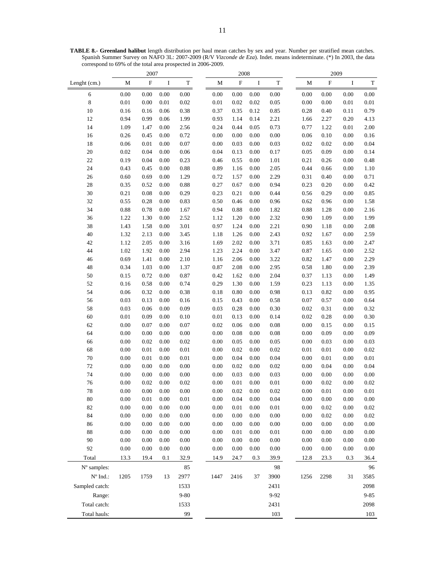**TABLE 8.- Greenland halibut** length distribution per haul mean catches by sex and year. Number per stratified mean catches. Spanish Summer Survey on NAFO 3L: 2007-2009 (R/V *Vizconde de Eza*). Indet. means indeterminate. (\*) In 2003, the data correspond to 69% of the total area prospected in 2006-2009.

|                                 | 2007     |             |          | 2008        |             |             | 2009     |             |             |           |         |             |
|---------------------------------|----------|-------------|----------|-------------|-------------|-------------|----------|-------------|-------------|-----------|---------|-------------|
| Lenght (cm.)                    | M        | $\mathbf F$ | I        | $\mathbf T$ | $\mathbf M$ | $\mathbf F$ | $\bf I$  | $\mathbf T$ | $\mathbf M$ | ${\bf F}$ | $\bf I$ | $\mathbf T$ |
| 6                               | 0.00     | 0.00        | 0.00     | $0.00\,$    | $0.00\,$    | 0.00        | 0.00     | $0.00\,$    | 0.00        | $0.00\,$  | 0.00    | $0.00\,$    |
| $\,8\,$                         | $0.01\,$ | $0.00\,$    | 0.01     | $0.02\,$    | $0.01\,$    | 0.02        | 0.02     | 0.05        | $0.00\,$    | $0.00\,$  | 0.01    | $0.01\,$    |
| $10\,$                          | 0.16     | 0.16        | 0.06     | 0.38        | 0.37        | 0.35        | 0.12     | 0.85        | 0.28        | 0.40      | 0.11    | 0.79        |
| 12                              | 0.94     | 0.99        | 0.06     | 1.99        | 0.93        | 1.14        | 0.14     | 2.21        | 1.66        | 2.27      | 0.20    | 4.13        |
| 14                              | 1.09     | 1.47        | 0.00     | 2.56        | 0.24        | 0.44        | 0.05     | 0.73        | 0.77        | 1.22      | 0.01    | 2.00        |
| 16                              | 0.26     | 0.45        | 0.00     | 0.72        | 0.00        | 0.00        | 0.00     | 0.00        | 0.06        | 0.10      | 0.00    | 0.16        |
| 18                              | 0.06     | 0.01        | 0.00     | 0.07        | $0.00\,$    | 0.03        | 0.00     | 0.03        | 0.02        | 0.02      | 0.00    | 0.04        |
| 20                              | 0.02     | 0.04        | 0.00     | 0.06        | 0.04        | 0.13        | 0.00     | 0.17        | 0.05        | 0.09      | 0.00    | 0.14        |
| 22                              | 0.19     | 0.04        | 0.00     | 0.23        | 0.46        | 0.55        | 0.00     | $1.01\,$    | 0.21        | 0.26      | 0.00    | 0.48        |
| 24                              | 0.43     | 0.45        | 0.00     | 0.88        | 0.89        | 1.16        | 0.00     | 2.05        | 0.44        | 0.66      | 0.00    | 1.10        |
| 26                              | 0.60     | 0.69        | 0.00     | 1.29        | 0.72        | 1.57        | 0.00     | 2.29        | 0.31        | 0.40      | 0.00    | 0.71        |
| 28                              | 0.35     | 0.52        | 0.00     | 0.88        | 0.27        | 0.67        | $0.00\,$ | 0.94        | 0.23        | 0.20      | 0.00    | 0.42        |
| 30                              | 0.21     | $\rm 0.08$  | 0.00     | 0.29        | 0.23        | 0.21        | 0.00     | 0.44        | 0.56        | 0.29      | 0.00    | 0.85        |
| 32                              | 0.55     | 0.28        | 0.00     | 0.83        | 0.50        | 0.46        | 0.00     | 0.96        | 0.62        | 0.96      | 0.00    | 1.58        |
| 34                              | 0.88     | 0.78        | 0.00     | 1.67        | 0.94        | 0.88        | 0.00     | 1.82        | 0.88        | 1.28      | 0.00    | 2.16        |
| 36                              | 1.22     | 1.30        | 0.00     | 2.52        | 1.12        | 1.20        | 0.00     | 2.32        | 0.90        | 1.09      | 0.00    | 1.99        |
| 38                              | 1.43     | 1.58        | 0.00     | 3.01        | 0.97        | 1.24        | 0.00     | 2.21        | 0.90        | 1.18      | 0.00    | 2.08        |
| 40                              | 1.32     | 2.13        | 0.00     | 3.45        | 1.18        | 1.26        | 0.00     | 2.43        | 0.92        | 1.67      | 0.00    | 2.59        |
| 42                              | 1.12     | 2.05        | 0.00     | 3.16        | 1.69        | 2.02        | 0.00     | 3.71        | 0.85        | 1.63      | 0.00    | 2.47        |
| 44                              | 1.02     | 1.92        | 0.00     | 2.94        | 1.23        | 2.24        | $0.00\,$ | 3.47        | 0.87        | 1.65      | 0.00    | 2.52        |
| 46                              | 0.69     | 1.41        | 0.00     | 2.10        | 1.16        | 2.06        | $0.00\,$ | 3.22        | 0.82        | 1.47      | 0.00    | 2.29        |
| 48                              | 0.34     | 1.03        | 0.00     | 1.37        | 0.87        | 2.08        | 0.00     | 2.95        | 0.58        | 1.80      | 0.00    | 2.39        |
| 50                              | 0.15     | 0.72        | 0.00     | 0.87        | 0.42        | 1.62        | $0.00\,$ | 2.04        | 0.37        | 1.13      | 0.00    | 1.49        |
| 52                              | 0.16     | 0.58        | 0.00     | 0.74        | 0.29        | 1.30        | 0.00     | 1.59        | 0.23        | 1.13      | 0.00    | 1.35        |
| 54                              | 0.06     | 0.32        | 0.00     | 0.38        | 0.18        | 0.80        | $0.00\,$ | 0.98        | 0.13        | 0.82      | 0.00    | 0.95        |
| 56                              | 0.03     | 0.13        | 0.00     | 0.16        | 0.15        | 0.43        | 0.00     | 0.58        | 0.07        | 0.57      | 0.00    | 0.64        |
| 58                              | 0.03     | 0.06        | 0.00     | 0.09        | 0.03        | 0.28        | 0.00     | 0.30        | 0.02        | 0.31      | 0.00    | 0.32        |
| 60                              | 0.01     | 0.09        | 0.00     | 0.10        | 0.01        | 0.13        | 0.00     | 0.14        | 0.02        | 0.28      | 0.00    | 0.30        |
| 62                              | 0.00     | 0.07        | 0.00     | $0.07\,$    | 0.02        | 0.06        | $0.00\,$ | $0.08\,$    | 0.00        | 0.15      | 0.00    | 0.15        |
| 64                              | 0.00     | 0.00        | 0.00     | 0.00        | 0.00        | 0.08        | $0.00\,$ | $0.08\,$    | 0.00        | 0.09      | 0.00    | 0.09        |
| 66                              | 0.00     | 0.02        | 0.00     | 0.02        | 0.00        | 0.05        | 0.00     | 0.05        | 0.00        | 0.03      | 0.00    | 0.03        |
| 68                              | 0.00     | 0.01        | 0.00     | $0.01\,$    | 0.00        | 0.02        | $0.00\,$ | 0.02        | 0.01        | 0.01      | 0.00    | 0.02        |
| 70                              | 0.00     | 0.01        | 0.00     | 0.01        | 0.00        | 0.04        | 0.00     | 0.04        | 0.00        | 0.01      | 0.00    | 0.01        |
| 72                              | 0.00     | 0.00        | 0.00     | 0.00        | 0.00        | 0.02        | 0.00     | 0.02        | 0.00        | 0.04      | 0.00    | 0.04        |
| 74                              | 0.00     | 0.00        | 0.00     | 0.00        | 0.00        | 0.03        | 0.00     | 0.03        | 0.00        | 0.00      | 0.00    | 0.00        |
| 76                              | $0.00\,$ | 0.02        | $0.00\,$ | 0.02        | $0.00\,$    | 0.01        | $0.00\,$ | $0.01\,$    | 0.00        | 0.02      | 0.00    | 0.02        |
| 78                              | 0.00     | $0.00\,$    | $0.00\,$ | 0.00        | 0.00        | 0.02        | $0.00\,$ | 0.02        | 0.00        | 0.01      | 0.00    | 0.01        |
| 80                              | 0.00     | 0.01        | 0.00     | 0.01        | 0.00        | 0.04        | 0.00     | 0.04        | 0.00        | 0.00      | 0.00    | 0.00        |
| 82                              | 0.00     | 0.00        | $0.00\,$ | $0.00\,$    | $0.00\,$    | 0.01        | $0.00\,$ | $0.01\,$    | 0.00        | 0.02      | 0.00    | $0.02\,$    |
| 84                              | 0.00     | $0.00\,$    | 0.00     | $0.00\,$    | 0.00        | 0.00        | 0.00     | $0.00\,$    | 0.00        | 0.02      | 0.00    | 0.02        |
| 86                              | 0.00     | $0.00\,$    | 0.00     | $0.00\,$    | 0.00        | 0.00        | 0.00     | $0.00\,$    | 0.00        | $0.00\,$  | 0.00    | $0.00\,$    |
| 88                              | 0.00     | 0.00        | 0.00     | 0.00        | 0.00        | 0.01        | 0.00     | 0.01        | 0.00        | 0.00      | 0.00    | 0.00        |
| 90                              | 0.00     | $0.00\,$    | 0.00     | 0.00        | 0.00        | 0.00        | 0.00     | 0.00        | 0.00        | 0.00      | 0.00    | 0.00        |
| 92                              | 0.00     | 0.00        | 0.00     | $0.00\,$    | 0.00        | 0.00        | $0.00\,$ | $0.00\,$    | 0.00        | $0.00\,$  | 0.00    | $0.00\,$    |
| Total                           | 13.3     | 19.4        | 0.1      | 32.9        | 14.9        | 24.7        | 0.3      | 39.9        | 12.8        | 23.3      | 0.3     | 36.4        |
| N° samples:                     |          |             |          | 85          |             |             |          | 98          |             |           |         | 96          |
| $\mathrm{N}^{\mathrm{o}}$ Ind.: | 1205     | 1759        | 13       | 2977        | 1447        | 2416        | 37       | 3900        | 1256        | 2298      | 31      | 3585        |
| Sampled catch:                  |          |             |          | 1533        |             |             |          | 2431        |             |           |         | 2098        |
| Range:                          |          |             |          | $9 - 80$    |             |             |          | 9-92        |             |           |         | $9 - 85$    |
| Total catch:                    |          |             |          | 1533        |             |             |          | 2431        |             |           |         | 2098        |
| Total hauls:                    |          |             |          | 99          |             |             |          | 103         |             |           |         | 103         |
|                                 |          |             |          |             |             |             |          |             |             |           |         |             |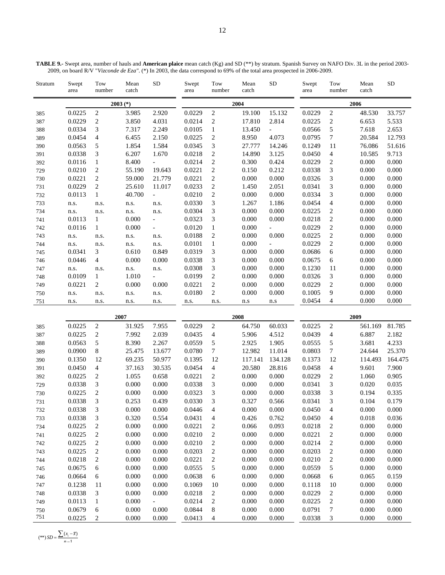Stratum Swept area Tow number Mean catch SD Swept area Tow number Mean catch SD Swept area Tow number Mean catch **2003 (\*) 2004 2006**  385 0.0225 2 3.985 2.920 0.0229 2 19.100 15.132 0.0229 2 48.530 33.757 387 0.0229 2 3.850 4.031 0.0214 2 17.810 2.814 0.0225 2 6.653 5.533 388 0.0334 3 7.317 2.249 0.0105 1 13.450 - 0.0566 5 7.618 2.653 389 0.0454 4 6.455 2.150 0.0225 2 8.950 4.073 0.0795 7 20.584 12.793 390 0.0563 5 1.854 1.584 0.0345 3 27.777 14.246 0.1249 11 76.086 51.616 391 0.0338 3 6.207 1.670 0.0218 2 14.890 3.125 0.0450 4 10.585 9.713 392 0.0116 1 8.400 - 0.0214 2 0.300 0.424 0.0229 2 0.000 0.000 729 0.0210 2 55.190 19.643 0.0221 2 0.150 0.212 0.0338 3 0.000 0.000 730 0.0221 2 59.000 21.779 0.0221 2 0.000 0.000 0.0326 3 0.000 0.000 731 0.0229 2 25.610 11.017 0.0233 2 1.450 2.051 0.0341 3 0.000 0.000

732 0.0113 1 40.700 - 0.0210 2 0.000 0.000 0.0334 3 0.000 0.000 733 n.s. n.s. n.s. n.s. 0.0330 3 1.267 1.186 0.0454 4 0.000 0.000 734 n.s. n.s. n.s. n.s. 0.0304 3 0.000 0.000 0.0225 2 0.000 0.000 741 0.0113 1 0.000 - 0.0323 3 0.000 0.000 0.0218 2 0.000 0.000 742 0.0116 1 0.000 - 0.0120 1 0.000 - 0.0229 2 0.000 0.000 743 n.s. n.s. n.s. n.s. 0.0188 2 0.000 0.000 0.0225 2 0.000 0.000 744 n.s. n.s. n.s. n.s. 0.0101 1 0.000 - 0.0229 2 0.000 0.000 745 0.0341 3 0.610 0.849 0.0319 3 0.000 0.000 0.0686 6 0.000 0.000 746 0.0446 4 0.000 0.000 0.0338 3 0.000 0.000 0.0675 6 0.000 0.000 747 n.s. n.s. n.s. n.s. 0.0308 3 0.000 0.000 0.1230 11 0.000 0.000 748 0.0109 1 1.010 - 0.0199 2 0.000 0.000 0.0326 3 0.000 0.000 749 0.0221 2 0.000 0.000 0.0221 2 0.000 0.000 0.0229 2 0.000 0.000 750 n.s. n.s. n.s. n.s. 0.0180 2 0.000 0.000 0.1005 9 0.000 0.000

| <b>TABLE 9.-</b> Swept area, number of hauls and <b>American plaice</b> mean catch (Kg) and SD (**) by stratum. Spanish Survey on NAFO Div. 3L in the period 2003- |  |
|--------------------------------------------------------------------------------------------------------------------------------------------------------------------|--|
| 2009, on board R/V "Vizconde de Eza". (*) In 2003, the data correspond to 69% of the total area prospected in 2006-2009.                                           |  |

SD

| 751 | n.s.   | n.s.           | n.s.   | n.s.   | n.s.   | n.s. | n.s     | n.s     | 0.0454 | 4              | 0.000   | 0.000   |
|-----|--------|----------------|--------|--------|--------|------|---------|---------|--------|----------------|---------|---------|
|     |        |                | 2007   |        |        | 2008 |         | 2009    |        |                |         |         |
| 385 | 0.0225 | $\overline{c}$ | 31.925 | 7.955  | 0.0229 | 2    | 64.750  | 60.033  | 0.0225 | 2              | 561.169 | 81.785  |
| 387 | 0.0225 | 2              | 7.992  | 2.039  | 0.0435 | 4    | 5.906   | 4.512   | 0.0439 | 4              | 6.887   | 2.182   |
| 388 | 0.0563 | 5              | 8.390  | 2.267  | 0.0559 | 5    | 2.925   | 1.905   | 0.0555 | 5              | 3.681   | 4.233   |
| 389 | 0.0900 | 8              | 25.475 | 13.677 | 0.0780 | 7    | 12.982  | 11.014  | 0.0803 | 7              | 24.644  | 25.370  |
| 390 | 0.1350 | 12             | 69.235 | 50.977 | 0.1395 | 12   | 117.141 | 134.128 | 0.1373 | 12             | 114.493 | 164.475 |
| 391 | 0.0450 | 4              | 37.163 | 30.535 | 0.0454 | 4    | 20.580  | 28.816  | 0.0458 | 4              | 9.601   | 7.900   |
| 392 | 0.0225 | 2              | 1.055  | 0.658  | 0.0221 | 2    | 0.000   | 0.000   | 0.0229 | 2              | 1.060   | 0.905   |
| 729 | 0.0338 | 3              | 0.000  | 0.000  | 0.0338 | 3    | 0.000   | 0.000   | 0.0341 | 3              | 0.020   | 0.035   |
| 730 | 0.0225 | 2              | 0.000  | 0.000  | 0.0323 | 3    | 0.000   | 0.000   | 0.0338 | 3              | 0.194   | 0.335   |
| 731 | 0.0338 | 3              | 0.253  | 0.439  | 0.0330 | 3    | 0.327   | 0.566   | 0.0341 | 3              | 0.104   | 0.179   |
| 732 | 0.0338 | 3              | 0.000  | 0.000  | 0.0446 | 4    | 0.000   | 0.000   | 0.0450 | 4              | 0.000   | 0.000   |
| 733 | 0.0338 | 3              | 0.320  | 0.554  | 0.0431 | 4    | 0.426   | 0.762   | 0.0450 | 4              | 0.018   | 0.036   |
| 734 | 0.0225 | 2              | 0.000  | 0.000  | 0.0221 | 2    | 0.066   | 0.093   | 0.0218 | 2              | 0.000   | 0.000   |
| 741 | 0.0225 | 2              | 0.000  | 0.000  | 0.0210 | 2    | 0.000   | 0.000   | 0.0221 | $\overline{2}$ | 0.000   | 0.000   |
| 742 | 0.0225 | 2              | 0.000  | 0.000  | 0.0210 | 2    | 0.000   | 0.000   | 0.0214 | 2              | 0.000   | 0.000   |
| 743 | 0.0225 | 2              | 0.000  | 0.000  | 0.0203 | 2    | 0.000   | 0.000   | 0.0203 | 2              | 0.000   | 0.000   |
| 744 | 0.0218 | 2              | 0.000  | 0.000  | 0.0221 | 2    | 0.000   | 0.000   | 0.0210 | $\overline{c}$ | 0.000   | 0.000   |
| 745 | 0.0675 | 6              | 0.000  | 0.000  | 0.0555 | 5    | 0.000   | 0.000   | 0.0559 | 5              | 0.000   | 0.000   |
| 746 | 0.0664 | 6              | 0.000  | 0.000  | 0.0638 | 6    | 0.000   | 0.000   | 0.0668 | 6              | 0.065   | 0.159   |
| 747 | 0.1238 | 11             | 0.000  | 0.000  | 0.1069 | 10   | 0.000   | 0.000   | 0.1118 | 10             | 0.000   | 0.000   |
| 748 | 0.0338 | 3              | 0.000  | 0.000  | 0.0218 | 2    | 0.000   | 0.000   | 0.0229 | 2              | 0.000   | 0.000   |
| 749 | 0.0113 | 1              | 0.000  |        | 0.0214 | 2    | 0.000   | 0.000   | 0.0225 | $\overline{2}$ | 0.000   | 0.000   |
| 750 | 0.0679 | 6              | 0.000  | 0.000  | 0.0844 | 8    | 0.000   | 0.000   | 0.0791 | 7              | 0.000   | 0.000   |
| 751 | 0.0225 | 2              | 0.000  | 0.000  | 0.0413 | 4    | 0.000   | 0.000   | 0.0338 | 3              | 0.000   | 0.000   |

 $(**)$  *SD* =  $\frac{\sum (x_i - \bar{x})}{n-1}$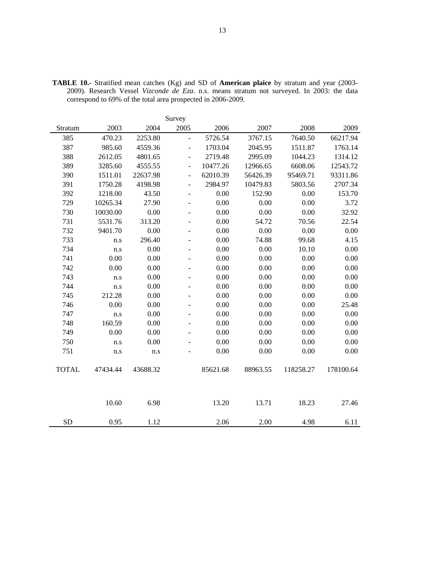|              | Survey   |          |                          |          |          |           |           |  |  |  |  |  |  |
|--------------|----------|----------|--------------------------|----------|----------|-----------|-----------|--|--|--|--|--|--|
| Stratum      | 2003     | 2004     | 2005                     | 2006     | 2007     | 2008      | 2009      |  |  |  |  |  |  |
| 385          | 470.23   | 2253.80  | $\overline{a}$           | 5726.54  | 3767.15  | 7640.50   | 66217.94  |  |  |  |  |  |  |
| 387          | 985.60   | 4559.36  | $\overline{a}$           | 1703.04  | 2045.95  | 1511.87   | 1763.14   |  |  |  |  |  |  |
| 388          | 2612.05  | 4801.65  | $\overline{a}$           | 2719.48  | 2995.09  | 1044.23   | 1314.12   |  |  |  |  |  |  |
| 389          | 3285.60  | 4555.55  | $\overline{\phantom{a}}$ | 10477.26 | 12966.65 | 6608.06   | 12543.72  |  |  |  |  |  |  |
| 390          | 1511.01  | 22637.98 | $\overline{\phantom{a}}$ | 62010.39 | 56426.39 | 95469.71  | 93311.86  |  |  |  |  |  |  |
| 391          | 1750.28  | 4198.98  | $\blacksquare$           | 2984.97  | 10479.83 | 5803.56   | 2707.34   |  |  |  |  |  |  |
| 392          | 1218.00  | 43.50    |                          | $0.00\,$ | 152.90   | 0.00      | 153.70    |  |  |  |  |  |  |
| 729          | 10265.34 | 27.90    | $\overline{\phantom{a}}$ | 0.00     | 0.00     | 0.00      | 3.72      |  |  |  |  |  |  |
| 730          | 10030.00 | 0.00     | $\overline{a}$           | 0.00     | 0.00     | 0.00      | 32.92     |  |  |  |  |  |  |
| 731          | 5531.76  | 313.20   | $\blacksquare$           | 0.00     | 54.72    | 70.56     | 22.54     |  |  |  |  |  |  |
| 732          | 9401.70  | 0.00     | $\overline{a}$           | 0.00     | 0.00     | 0.00      | 0.00      |  |  |  |  |  |  |
| 733          | n.s      | 296.40   | $\overline{a}$           | 0.00     | 74.88    | 99.68     | 4.15      |  |  |  |  |  |  |
| 734          | n.s      | 0.00     | $\blacksquare$           | 0.00     | 0.00     | 10.10     | 0.00      |  |  |  |  |  |  |
| 741          | 0.00     | 0.00     |                          | 0.00     | 0.00     | 0.00      | 0.00      |  |  |  |  |  |  |
| 742          | 0.00     | 0.00     |                          | 0.00     | 0.00     | 0.00      | 0.00      |  |  |  |  |  |  |
| 743          | n.s      | 0.00     |                          | 0.00     | 0.00     | 0.00      | 0.00      |  |  |  |  |  |  |
| 744          | n.s      | 0.00     | ÷.                       | 0.00     | 0.00     | 0.00      | 0.00      |  |  |  |  |  |  |
| 745          | 212.28   | 0.00     | ٠                        | 0.00     | 0.00     | 0.00      | 0.00      |  |  |  |  |  |  |
| 746          | 0.00     | 0.00     | ÷.                       | 0.00     | 0.00     | 0.00      | 25.48     |  |  |  |  |  |  |
| 747          | n.s      | 0.00     |                          | 0.00     | 0.00     | 0.00      | 0.00      |  |  |  |  |  |  |
| 748          | 160.59   | 0.00     | $\overline{\phantom{a}}$ | 0.00     | 0.00     | 0.00      | 0.00      |  |  |  |  |  |  |
| 749          | 0.00     | 0.00     |                          | 0.00     | 0.00     | 0.00      | 0.00      |  |  |  |  |  |  |
| 750          | n.s      | 0.00     |                          | 0.00     | 0.00     | 0.00      | 0.00      |  |  |  |  |  |  |
| 751          | n.s      | n.s      |                          | 0.00     | 0.00     | 0.00      | 0.00      |  |  |  |  |  |  |
|              |          |          |                          |          |          |           |           |  |  |  |  |  |  |
| <b>TOTAL</b> | 47434.44 | 43688.32 |                          | 85621.68 | 88963.55 | 118258.27 | 178100.64 |  |  |  |  |  |  |
|              |          |          |                          |          |          |           |           |  |  |  |  |  |  |
|              |          |          |                          |          |          |           |           |  |  |  |  |  |  |
|              |          |          |                          |          |          |           |           |  |  |  |  |  |  |
|              | 10.60    | 6.98     |                          | 13.20    | 13.71    | 18.23     | 27.46     |  |  |  |  |  |  |
| <b>SD</b>    | 0.95     | 1.12     |                          | 2.06     | 2.00     | 4.98      | 6.11      |  |  |  |  |  |  |
|              |          |          |                          |          |          |           |           |  |  |  |  |  |  |

**TABLE 10.-** Stratified mean catches (Kg) and SD of **American plaice** by stratum and year (2003- 2009). Research Vessel *Vizconde de Eza*. n.s. means stratum not surveyed. In 2003: the data correspond to 69% of the total area prospected in 2006-2009.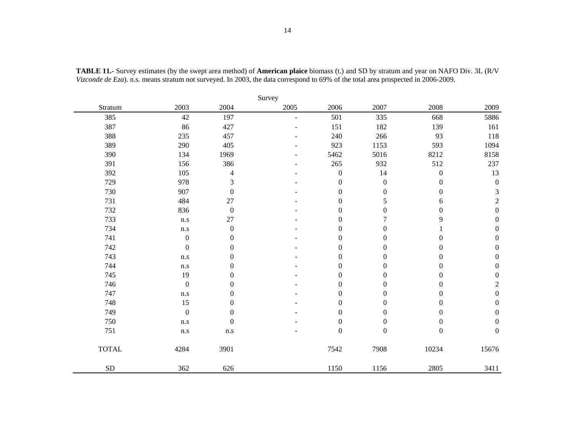| Survey       |                         |                  |                |                  |                  |                  |                             |  |  |  |  |  |
|--------------|-------------------------|------------------|----------------|------------------|------------------|------------------|-----------------------------|--|--|--|--|--|
| Stratum      | 2003                    | 2004             | 2005           | 2006             | 2007             | 2008             | 2009                        |  |  |  |  |  |
| 385          | 42                      | 197              | $\overline{a}$ | 501              | 335              | 668              | 5886                        |  |  |  |  |  |
| 387          | 86                      | 427              |                | 151              | 182              | 139              | 161                         |  |  |  |  |  |
| 388          | 235                     | 457              |                | 240              | 266              | 93               | 118                         |  |  |  |  |  |
| 389          | 290                     | 405              |                | 923              | 1153             | 593              | 1094                        |  |  |  |  |  |
| 390          | 134                     | 1969             |                | 5462             | 5016             | 8212             | 8158                        |  |  |  |  |  |
| 391          | 156                     | 386              | ۰              | 265              | 932              | 512              | 237                         |  |  |  |  |  |
| 392          | 105                     | $\overline{4}$   |                | $\boldsymbol{0}$ | 14               | $\boldsymbol{0}$ | 13                          |  |  |  |  |  |
| 729          | 978                     | 3                |                | $\overline{0}$   | $\boldsymbol{0}$ | $\boldsymbol{0}$ | $\boldsymbol{0}$            |  |  |  |  |  |
| 730          | 907                     | $\boldsymbol{0}$ |                | $\boldsymbol{0}$ | $\boldsymbol{0}$ | $\boldsymbol{0}$ | $\ensuremath{\mathfrak{Z}}$ |  |  |  |  |  |
| 731          | 484                     | 27               |                | $\theta$         | 5                | 6                | $\sqrt{2}$                  |  |  |  |  |  |
| 732          | 836                     | $\boldsymbol{0}$ |                | $\boldsymbol{0}$ | $\boldsymbol{0}$ | $\boldsymbol{0}$ | $\boldsymbol{0}$            |  |  |  |  |  |
| 733          | n.s                     | 27               |                | $\boldsymbol{0}$ |                  | 9                | $\boldsymbol{0}$            |  |  |  |  |  |
| 734          | $\mathbf{n}.\mathbf{s}$ | $\boldsymbol{0}$ |                | $\boldsymbol{0}$ | $\boldsymbol{0}$ |                  | $\boldsymbol{0}$            |  |  |  |  |  |
| 741          | $\boldsymbol{0}$        | $\mathbf{0}$     |                | $\theta$         | $\boldsymbol{0}$ | $\theta$         | $\boldsymbol{0}$            |  |  |  |  |  |
| 742          | $\boldsymbol{0}$        | $\boldsymbol{0}$ |                | $\boldsymbol{0}$ | $\boldsymbol{0}$ | $\boldsymbol{0}$ | $\boldsymbol{0}$            |  |  |  |  |  |
| 743          | n.s                     | $\boldsymbol{0}$ |                | $\theta$         | $\boldsymbol{0}$ | $\boldsymbol{0}$ | $\boldsymbol{0}$            |  |  |  |  |  |
| 744          | $\mathbf{n}.\mathbf{s}$ | $\boldsymbol{0}$ |                | $\boldsymbol{0}$ | $\boldsymbol{0}$ | $\boldsymbol{0}$ | $\boldsymbol{0}$            |  |  |  |  |  |
| 745          | 19                      | $\mathbf{0}$     |                | $\theta$         | $\boldsymbol{0}$ | $\boldsymbol{0}$ | $\boldsymbol{0}$            |  |  |  |  |  |
| 746          | $\boldsymbol{0}$        | $\mathbf{0}$     |                | $\overline{0}$   | $\boldsymbol{0}$ | $\boldsymbol{0}$ | $\sqrt{2}$                  |  |  |  |  |  |
| 747          | n.s                     | $\boldsymbol{0}$ |                | $\boldsymbol{0}$ | $\boldsymbol{0}$ | $\boldsymbol{0}$ | $\boldsymbol{0}$            |  |  |  |  |  |
| 748          | 15                      | $\boldsymbol{0}$ |                | $\boldsymbol{0}$ | $\boldsymbol{0}$ | $\boldsymbol{0}$ | $\boldsymbol{0}$            |  |  |  |  |  |
| 749          | $\boldsymbol{0}$        | $\boldsymbol{0}$ |                | $\boldsymbol{0}$ | $\boldsymbol{0}$ | $\boldsymbol{0}$ | $\boldsymbol{0}$            |  |  |  |  |  |
| 750          | $\mathbf{n}.\mathbf{s}$ | $\boldsymbol{0}$ |                | $\boldsymbol{0}$ | $\boldsymbol{0}$ | $\boldsymbol{0}$ | $\boldsymbol{0}$            |  |  |  |  |  |
| 751          | n.s                     | n.s              |                | $\overline{0}$   | $\boldsymbol{0}$ | $\boldsymbol{0}$ | $\boldsymbol{0}$            |  |  |  |  |  |
| <b>TOTAL</b> | 4284                    | 3901             |                | 7542             | 7908             | 10234            | 15676                       |  |  |  |  |  |
| <b>SD</b>    | 362                     | 626              |                | 1150             | 1156             | 2805             | 3411                        |  |  |  |  |  |

**TABLE 11.-** Survey estimates (by the swept area method) of **American plaice** biomass (t.) and SD by stratum and year on NAFO Div. 3L (R/V *Vizconde de Eza*). n.s. means stratum not surveyed. In 2003, the data correspond to 69% of the total area prospected in 2006-2009.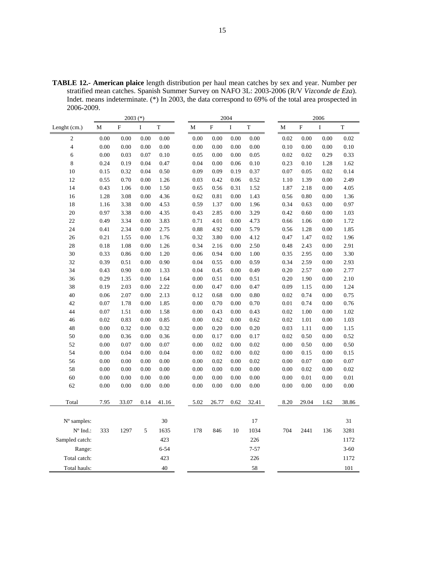**TABLE 12.- American plaice** length distribution per haul mean catches by sex and year. Number per stratified mean catches. Spanish Summer Survey on NAFO 3L: 2003-2006 (R/V *Vizconde de Eza*). Indet. means indeterminate. (\*) In 2003, the data correspond to 69% of the total area prospected in 2006-2009.

| $\mathbf F$<br>$\mathbf F$<br>$\mathbf I$<br>T<br>$\mathbf M$<br>$\mathbf F$<br>$\mathbf I$<br>T<br>M<br>$\rm I$<br>T<br>Lenght (cm.)<br>M<br>$\sqrt{2}$<br>0.00<br>0.00<br>0.00<br>0.00<br>0.00<br>0.00<br>0.00<br>0.02<br>0.02<br>0.00<br>0.00<br>0.00<br>$\overline{4}$<br>0.00<br>0.00<br>0.00<br>0.00<br>0.00<br>0.00<br>0.00<br>0.00<br>0.10<br>0.00<br>0.00<br>0.10<br>6<br>0.00<br>0.03<br>0.07<br>0.10<br>0.05<br>0.00<br>0.00<br>0.05<br>0.02<br>0.02<br>0.29<br>0.33<br>$\,8\,$<br>0.24<br>0.04<br>0.47<br>0.04<br>0.06<br>0.10<br>0.23<br>1.62<br>0.19<br>0.00<br>0.10<br>1.28<br>10<br>0.02<br>0.15<br>0.32<br>0.04<br>0.50<br>0.09<br>0.09<br>0.19<br>0.37<br>0.07<br>0.05<br>0.14<br>12<br>0.55<br>0.70<br>0.00<br>1.26<br>0.03<br>0.42<br>0.06<br>0.52<br>1.10<br>1.39<br>0.00<br>2.49<br>14<br>1.50<br>0.31<br>1.87<br>0.00<br>4.05<br>0.43<br>1.06<br>0.00<br>0.65<br>0.56<br>1.52<br>2.18<br>16<br>1.28<br>3.08<br>0.00<br>4.36<br>0.62<br>0.81<br>0.00<br>1.43<br>0.56<br>0.80<br>0.00<br>1.36<br>18<br>1.16<br>4.53<br>0.59<br>0.00<br>1.96<br>0.34<br>0.63<br>0.00<br>0.97<br>3.38<br>0.00<br>1.37<br>20<br>3.29<br>0.97<br>3.38<br>0.00<br>0.42<br>0.00<br>1.03<br>0.00<br>4.35<br>0.43<br>2.85<br>0.60<br>22<br>3.83<br>0.00<br>1.72<br>0.49<br>3.34<br>0.00<br>0.71<br>4.01<br>4.73<br>0.66<br>1.06<br>0.00<br>24<br>0.41<br>2.34<br>0.00<br>2.75<br>0.88<br>4.92<br>0.00<br>5.79<br>0.56<br>1.28<br>0.00<br>1.85<br>26<br>0.21<br>1.55<br>0.00<br>1.76<br>0.32<br>3.80<br>0.00<br>4.12<br>0.47<br>0.02<br>1.96<br>1.47<br>28<br>0.18<br>1.26<br>0.34<br>2.50<br>0.48<br>0.00<br>2.91<br>1.08<br>0.00<br>2.16<br>0.00<br>2.43<br>30<br>0.33<br>0.86<br>0.00<br>1.20<br>0.06<br>0.94<br>0.00<br>1.00<br>0.35<br>2.95<br>0.00<br>3.30<br>32<br>0.39<br>0.51<br>0.00<br>0.90<br>0.04<br>0.00<br>0.59<br>0.34<br>2.59<br>0.00<br>2.93<br>0.55<br>34<br>0.43<br>0.90<br>0.00<br>0.04<br>0.00<br>0.49<br>0.20<br>0.00<br>2.77<br>1.33<br>0.45<br>2.57<br>36<br>0.29<br>1.35<br>0.00<br>1.64<br>0.00<br>0.51<br>0.00<br>0.51<br>0.20<br>1.90<br>0.00<br>2.10<br>38<br>0.19<br>2.03<br>0.00<br>2.22<br>0.00<br>0.47<br>0.00<br>0.47<br>0.09<br>0.00<br>1.24<br>1.15<br>40<br>0.06<br>2.07<br>2.13<br>0.00<br>0.80<br>0.02<br>0.74<br>0.00<br>0.75<br>0.00<br>0.12<br>0.68<br>42<br>1.78<br>1.85<br>0.70<br>0.70<br>0.01<br>0.00<br>0.76<br>0.07<br>0.00<br>0.00<br>0.00<br>0.74<br>44<br>0.00<br>0.02<br>0.07<br>1.51<br>0.00<br>1.58<br>0.00<br>0.43<br>0.43<br>1.00<br>0.00<br>1.02<br>46<br>0.02<br>0.83<br>0.00<br>0.85<br>0.00<br>0.62<br>0.00<br>0.62<br>0.02<br>1.01<br>0.00<br>1.03<br>48<br>0.00<br>0.32<br>0.00<br>0.32<br>0.00<br>0.20<br>0.00<br>0.20<br>0.03<br>0.00<br>1.15<br>1.11<br>50<br>0.00<br>0.36<br>0.00<br>0.36<br>0.00<br>0.17<br>0.00<br>0.17<br>0.02<br>0.50<br>0.00<br>0.52<br>52<br>0.00<br>0.07<br>0.00<br>0.07<br>0.00<br>0.00<br>0.02<br>0.00<br>0.00<br>0.50<br>0.02<br>0.50<br>54<br>0.04<br>0.00<br>0.00<br>0.02<br>0.00<br>0.00<br>0.00<br>0.04<br>0.00<br>0.02<br>0.15<br>0.15<br>56<br>0.02<br>0.00<br>0.07<br>0.00<br>0.00<br>0.00<br>0.00<br>0.00<br>0.02<br>0.00<br>0.07<br>0.00<br>58<br>0.00<br>0.00<br>0.02<br>0.00<br>0.00<br>0.00<br>0.00<br>0.00<br>0.00<br>0.00<br>0.02<br>0.00<br>60<br>0.00<br>0.00<br>0.00<br>0.00<br>0.00<br>0.00<br>0.00<br>0.00<br>0.00<br>0.01<br>0.00<br>0.01<br>62<br>0.00<br>0.00<br>0.00<br>0.00<br>0.00<br>0.00<br>0.00<br>0.00<br>0.00<br>0.00<br>0.00<br>0.00<br>Total<br>7.95<br>33.07<br>0.14<br>5.02<br>26.77<br>0.62<br>32.41<br>8.20<br>29.04<br>1.62<br>38.86<br>41.16<br>30<br>17<br>N° samples:<br>31<br>$N^{\circ}$ Ind.:<br>704<br>333<br>1297<br>5<br>1635<br>178<br>846<br>10<br>1034<br>2441<br>136<br>3281<br>423<br>226<br>Sampled catch:<br>1172<br>Range:<br>$6 - 54$<br>$7 - 57$<br>$3 - 60$<br>423<br>226<br>1172<br>Total catch: |              | 2003 $(*)$ |    | 2004 |  |  |  |    |  |  |     |
|-----------------------------------------------------------------------------------------------------------------------------------------------------------------------------------------------------------------------------------------------------------------------------------------------------------------------------------------------------------------------------------------------------------------------------------------------------------------------------------------------------------------------------------------------------------------------------------------------------------------------------------------------------------------------------------------------------------------------------------------------------------------------------------------------------------------------------------------------------------------------------------------------------------------------------------------------------------------------------------------------------------------------------------------------------------------------------------------------------------------------------------------------------------------------------------------------------------------------------------------------------------------------------------------------------------------------------------------------------------------------------------------------------------------------------------------------------------------------------------------------------------------------------------------------------------------------------------------------------------------------------------------------------------------------------------------------------------------------------------------------------------------------------------------------------------------------------------------------------------------------------------------------------------------------------------------------------------------------------------------------------------------------------------------------------------------------------------------------------------------------------------------------------------------------------------------------------------------------------------------------------------------------------------------------------------------------------------------------------------------------------------------------------------------------------------------------------------------------------------------------------------------------------------------------------------------------------------------------------------------------------------------------------------------------------------------------------------------------------------------------------------------------------------------------------------------------------------------------------------------------------------------------------------------------------------------------------------------------------------------------------------------------------------------------------------------------------------------------------------------------------------------------------------------------------------------------------------------------------------------------------------------------------------------------------------------------------------------------------------------------------------------------------------------------------------------------------------------------------------------------------------------------------------------------------------------------------------------------------------------------------------------------------------------------------------------------------------------------------------------------------------------------------------------------------------------------------------------------------|--------------|------------|----|------|--|--|--|----|--|--|-----|
|                                                                                                                                                                                                                                                                                                                                                                                                                                                                                                                                                                                                                                                                                                                                                                                                                                                                                                                                                                                                                                                                                                                                                                                                                                                                                                                                                                                                                                                                                                                                                                                                                                                                                                                                                                                                                                                                                                                                                                                                                                                                                                                                                                                                                                                                                                                                                                                                                                                                                                                                                                                                                                                                                                                                                                                                                                                                                                                                                                                                                                                                                                                                                                                                                                                                                                                                                                                                                                                                                                                                                                                                                                                                                                                                                                                                                                                     |              |            |    |      |  |  |  |    |  |  |     |
|                                                                                                                                                                                                                                                                                                                                                                                                                                                                                                                                                                                                                                                                                                                                                                                                                                                                                                                                                                                                                                                                                                                                                                                                                                                                                                                                                                                                                                                                                                                                                                                                                                                                                                                                                                                                                                                                                                                                                                                                                                                                                                                                                                                                                                                                                                                                                                                                                                                                                                                                                                                                                                                                                                                                                                                                                                                                                                                                                                                                                                                                                                                                                                                                                                                                                                                                                                                                                                                                                                                                                                                                                                                                                                                                                                                                                                                     |              |            |    |      |  |  |  |    |  |  |     |
|                                                                                                                                                                                                                                                                                                                                                                                                                                                                                                                                                                                                                                                                                                                                                                                                                                                                                                                                                                                                                                                                                                                                                                                                                                                                                                                                                                                                                                                                                                                                                                                                                                                                                                                                                                                                                                                                                                                                                                                                                                                                                                                                                                                                                                                                                                                                                                                                                                                                                                                                                                                                                                                                                                                                                                                                                                                                                                                                                                                                                                                                                                                                                                                                                                                                                                                                                                                                                                                                                                                                                                                                                                                                                                                                                                                                                                                     |              |            |    |      |  |  |  |    |  |  |     |
|                                                                                                                                                                                                                                                                                                                                                                                                                                                                                                                                                                                                                                                                                                                                                                                                                                                                                                                                                                                                                                                                                                                                                                                                                                                                                                                                                                                                                                                                                                                                                                                                                                                                                                                                                                                                                                                                                                                                                                                                                                                                                                                                                                                                                                                                                                                                                                                                                                                                                                                                                                                                                                                                                                                                                                                                                                                                                                                                                                                                                                                                                                                                                                                                                                                                                                                                                                                                                                                                                                                                                                                                                                                                                                                                                                                                                                                     |              |            |    |      |  |  |  |    |  |  |     |
|                                                                                                                                                                                                                                                                                                                                                                                                                                                                                                                                                                                                                                                                                                                                                                                                                                                                                                                                                                                                                                                                                                                                                                                                                                                                                                                                                                                                                                                                                                                                                                                                                                                                                                                                                                                                                                                                                                                                                                                                                                                                                                                                                                                                                                                                                                                                                                                                                                                                                                                                                                                                                                                                                                                                                                                                                                                                                                                                                                                                                                                                                                                                                                                                                                                                                                                                                                                                                                                                                                                                                                                                                                                                                                                                                                                                                                                     |              |            |    |      |  |  |  |    |  |  |     |
|                                                                                                                                                                                                                                                                                                                                                                                                                                                                                                                                                                                                                                                                                                                                                                                                                                                                                                                                                                                                                                                                                                                                                                                                                                                                                                                                                                                                                                                                                                                                                                                                                                                                                                                                                                                                                                                                                                                                                                                                                                                                                                                                                                                                                                                                                                                                                                                                                                                                                                                                                                                                                                                                                                                                                                                                                                                                                                                                                                                                                                                                                                                                                                                                                                                                                                                                                                                                                                                                                                                                                                                                                                                                                                                                                                                                                                                     |              |            |    |      |  |  |  |    |  |  |     |
|                                                                                                                                                                                                                                                                                                                                                                                                                                                                                                                                                                                                                                                                                                                                                                                                                                                                                                                                                                                                                                                                                                                                                                                                                                                                                                                                                                                                                                                                                                                                                                                                                                                                                                                                                                                                                                                                                                                                                                                                                                                                                                                                                                                                                                                                                                                                                                                                                                                                                                                                                                                                                                                                                                                                                                                                                                                                                                                                                                                                                                                                                                                                                                                                                                                                                                                                                                                                                                                                                                                                                                                                                                                                                                                                                                                                                                                     |              |            |    |      |  |  |  |    |  |  |     |
|                                                                                                                                                                                                                                                                                                                                                                                                                                                                                                                                                                                                                                                                                                                                                                                                                                                                                                                                                                                                                                                                                                                                                                                                                                                                                                                                                                                                                                                                                                                                                                                                                                                                                                                                                                                                                                                                                                                                                                                                                                                                                                                                                                                                                                                                                                                                                                                                                                                                                                                                                                                                                                                                                                                                                                                                                                                                                                                                                                                                                                                                                                                                                                                                                                                                                                                                                                                                                                                                                                                                                                                                                                                                                                                                                                                                                                                     |              |            |    |      |  |  |  |    |  |  |     |
|                                                                                                                                                                                                                                                                                                                                                                                                                                                                                                                                                                                                                                                                                                                                                                                                                                                                                                                                                                                                                                                                                                                                                                                                                                                                                                                                                                                                                                                                                                                                                                                                                                                                                                                                                                                                                                                                                                                                                                                                                                                                                                                                                                                                                                                                                                                                                                                                                                                                                                                                                                                                                                                                                                                                                                                                                                                                                                                                                                                                                                                                                                                                                                                                                                                                                                                                                                                                                                                                                                                                                                                                                                                                                                                                                                                                                                                     |              |            |    |      |  |  |  |    |  |  |     |
|                                                                                                                                                                                                                                                                                                                                                                                                                                                                                                                                                                                                                                                                                                                                                                                                                                                                                                                                                                                                                                                                                                                                                                                                                                                                                                                                                                                                                                                                                                                                                                                                                                                                                                                                                                                                                                                                                                                                                                                                                                                                                                                                                                                                                                                                                                                                                                                                                                                                                                                                                                                                                                                                                                                                                                                                                                                                                                                                                                                                                                                                                                                                                                                                                                                                                                                                                                                                                                                                                                                                                                                                                                                                                                                                                                                                                                                     |              |            |    |      |  |  |  |    |  |  |     |
|                                                                                                                                                                                                                                                                                                                                                                                                                                                                                                                                                                                                                                                                                                                                                                                                                                                                                                                                                                                                                                                                                                                                                                                                                                                                                                                                                                                                                                                                                                                                                                                                                                                                                                                                                                                                                                                                                                                                                                                                                                                                                                                                                                                                                                                                                                                                                                                                                                                                                                                                                                                                                                                                                                                                                                                                                                                                                                                                                                                                                                                                                                                                                                                                                                                                                                                                                                                                                                                                                                                                                                                                                                                                                                                                                                                                                                                     |              |            |    |      |  |  |  |    |  |  |     |
|                                                                                                                                                                                                                                                                                                                                                                                                                                                                                                                                                                                                                                                                                                                                                                                                                                                                                                                                                                                                                                                                                                                                                                                                                                                                                                                                                                                                                                                                                                                                                                                                                                                                                                                                                                                                                                                                                                                                                                                                                                                                                                                                                                                                                                                                                                                                                                                                                                                                                                                                                                                                                                                                                                                                                                                                                                                                                                                                                                                                                                                                                                                                                                                                                                                                                                                                                                                                                                                                                                                                                                                                                                                                                                                                                                                                                                                     |              |            |    |      |  |  |  |    |  |  |     |
|                                                                                                                                                                                                                                                                                                                                                                                                                                                                                                                                                                                                                                                                                                                                                                                                                                                                                                                                                                                                                                                                                                                                                                                                                                                                                                                                                                                                                                                                                                                                                                                                                                                                                                                                                                                                                                                                                                                                                                                                                                                                                                                                                                                                                                                                                                                                                                                                                                                                                                                                                                                                                                                                                                                                                                                                                                                                                                                                                                                                                                                                                                                                                                                                                                                                                                                                                                                                                                                                                                                                                                                                                                                                                                                                                                                                                                                     |              |            |    |      |  |  |  |    |  |  |     |
|                                                                                                                                                                                                                                                                                                                                                                                                                                                                                                                                                                                                                                                                                                                                                                                                                                                                                                                                                                                                                                                                                                                                                                                                                                                                                                                                                                                                                                                                                                                                                                                                                                                                                                                                                                                                                                                                                                                                                                                                                                                                                                                                                                                                                                                                                                                                                                                                                                                                                                                                                                                                                                                                                                                                                                                                                                                                                                                                                                                                                                                                                                                                                                                                                                                                                                                                                                                                                                                                                                                                                                                                                                                                                                                                                                                                                                                     |              |            |    |      |  |  |  |    |  |  |     |
|                                                                                                                                                                                                                                                                                                                                                                                                                                                                                                                                                                                                                                                                                                                                                                                                                                                                                                                                                                                                                                                                                                                                                                                                                                                                                                                                                                                                                                                                                                                                                                                                                                                                                                                                                                                                                                                                                                                                                                                                                                                                                                                                                                                                                                                                                                                                                                                                                                                                                                                                                                                                                                                                                                                                                                                                                                                                                                                                                                                                                                                                                                                                                                                                                                                                                                                                                                                                                                                                                                                                                                                                                                                                                                                                                                                                                                                     |              |            |    |      |  |  |  |    |  |  |     |
|                                                                                                                                                                                                                                                                                                                                                                                                                                                                                                                                                                                                                                                                                                                                                                                                                                                                                                                                                                                                                                                                                                                                                                                                                                                                                                                                                                                                                                                                                                                                                                                                                                                                                                                                                                                                                                                                                                                                                                                                                                                                                                                                                                                                                                                                                                                                                                                                                                                                                                                                                                                                                                                                                                                                                                                                                                                                                                                                                                                                                                                                                                                                                                                                                                                                                                                                                                                                                                                                                                                                                                                                                                                                                                                                                                                                                                                     |              |            |    |      |  |  |  |    |  |  |     |
|                                                                                                                                                                                                                                                                                                                                                                                                                                                                                                                                                                                                                                                                                                                                                                                                                                                                                                                                                                                                                                                                                                                                                                                                                                                                                                                                                                                                                                                                                                                                                                                                                                                                                                                                                                                                                                                                                                                                                                                                                                                                                                                                                                                                                                                                                                                                                                                                                                                                                                                                                                                                                                                                                                                                                                                                                                                                                                                                                                                                                                                                                                                                                                                                                                                                                                                                                                                                                                                                                                                                                                                                                                                                                                                                                                                                                                                     |              |            |    |      |  |  |  |    |  |  |     |
|                                                                                                                                                                                                                                                                                                                                                                                                                                                                                                                                                                                                                                                                                                                                                                                                                                                                                                                                                                                                                                                                                                                                                                                                                                                                                                                                                                                                                                                                                                                                                                                                                                                                                                                                                                                                                                                                                                                                                                                                                                                                                                                                                                                                                                                                                                                                                                                                                                                                                                                                                                                                                                                                                                                                                                                                                                                                                                                                                                                                                                                                                                                                                                                                                                                                                                                                                                                                                                                                                                                                                                                                                                                                                                                                                                                                                                                     |              |            |    |      |  |  |  |    |  |  |     |
|                                                                                                                                                                                                                                                                                                                                                                                                                                                                                                                                                                                                                                                                                                                                                                                                                                                                                                                                                                                                                                                                                                                                                                                                                                                                                                                                                                                                                                                                                                                                                                                                                                                                                                                                                                                                                                                                                                                                                                                                                                                                                                                                                                                                                                                                                                                                                                                                                                                                                                                                                                                                                                                                                                                                                                                                                                                                                                                                                                                                                                                                                                                                                                                                                                                                                                                                                                                                                                                                                                                                                                                                                                                                                                                                                                                                                                                     |              |            |    |      |  |  |  |    |  |  |     |
|                                                                                                                                                                                                                                                                                                                                                                                                                                                                                                                                                                                                                                                                                                                                                                                                                                                                                                                                                                                                                                                                                                                                                                                                                                                                                                                                                                                                                                                                                                                                                                                                                                                                                                                                                                                                                                                                                                                                                                                                                                                                                                                                                                                                                                                                                                                                                                                                                                                                                                                                                                                                                                                                                                                                                                                                                                                                                                                                                                                                                                                                                                                                                                                                                                                                                                                                                                                                                                                                                                                                                                                                                                                                                                                                                                                                                                                     |              |            |    |      |  |  |  |    |  |  |     |
|                                                                                                                                                                                                                                                                                                                                                                                                                                                                                                                                                                                                                                                                                                                                                                                                                                                                                                                                                                                                                                                                                                                                                                                                                                                                                                                                                                                                                                                                                                                                                                                                                                                                                                                                                                                                                                                                                                                                                                                                                                                                                                                                                                                                                                                                                                                                                                                                                                                                                                                                                                                                                                                                                                                                                                                                                                                                                                                                                                                                                                                                                                                                                                                                                                                                                                                                                                                                                                                                                                                                                                                                                                                                                                                                                                                                                                                     |              |            |    |      |  |  |  |    |  |  |     |
|                                                                                                                                                                                                                                                                                                                                                                                                                                                                                                                                                                                                                                                                                                                                                                                                                                                                                                                                                                                                                                                                                                                                                                                                                                                                                                                                                                                                                                                                                                                                                                                                                                                                                                                                                                                                                                                                                                                                                                                                                                                                                                                                                                                                                                                                                                                                                                                                                                                                                                                                                                                                                                                                                                                                                                                                                                                                                                                                                                                                                                                                                                                                                                                                                                                                                                                                                                                                                                                                                                                                                                                                                                                                                                                                                                                                                                                     |              |            |    |      |  |  |  |    |  |  |     |
|                                                                                                                                                                                                                                                                                                                                                                                                                                                                                                                                                                                                                                                                                                                                                                                                                                                                                                                                                                                                                                                                                                                                                                                                                                                                                                                                                                                                                                                                                                                                                                                                                                                                                                                                                                                                                                                                                                                                                                                                                                                                                                                                                                                                                                                                                                                                                                                                                                                                                                                                                                                                                                                                                                                                                                                                                                                                                                                                                                                                                                                                                                                                                                                                                                                                                                                                                                                                                                                                                                                                                                                                                                                                                                                                                                                                                                                     |              |            |    |      |  |  |  |    |  |  |     |
|                                                                                                                                                                                                                                                                                                                                                                                                                                                                                                                                                                                                                                                                                                                                                                                                                                                                                                                                                                                                                                                                                                                                                                                                                                                                                                                                                                                                                                                                                                                                                                                                                                                                                                                                                                                                                                                                                                                                                                                                                                                                                                                                                                                                                                                                                                                                                                                                                                                                                                                                                                                                                                                                                                                                                                                                                                                                                                                                                                                                                                                                                                                                                                                                                                                                                                                                                                                                                                                                                                                                                                                                                                                                                                                                                                                                                                                     |              |            |    |      |  |  |  |    |  |  |     |
|                                                                                                                                                                                                                                                                                                                                                                                                                                                                                                                                                                                                                                                                                                                                                                                                                                                                                                                                                                                                                                                                                                                                                                                                                                                                                                                                                                                                                                                                                                                                                                                                                                                                                                                                                                                                                                                                                                                                                                                                                                                                                                                                                                                                                                                                                                                                                                                                                                                                                                                                                                                                                                                                                                                                                                                                                                                                                                                                                                                                                                                                                                                                                                                                                                                                                                                                                                                                                                                                                                                                                                                                                                                                                                                                                                                                                                                     |              |            |    |      |  |  |  |    |  |  |     |
|                                                                                                                                                                                                                                                                                                                                                                                                                                                                                                                                                                                                                                                                                                                                                                                                                                                                                                                                                                                                                                                                                                                                                                                                                                                                                                                                                                                                                                                                                                                                                                                                                                                                                                                                                                                                                                                                                                                                                                                                                                                                                                                                                                                                                                                                                                                                                                                                                                                                                                                                                                                                                                                                                                                                                                                                                                                                                                                                                                                                                                                                                                                                                                                                                                                                                                                                                                                                                                                                                                                                                                                                                                                                                                                                                                                                                                                     |              |            |    |      |  |  |  |    |  |  |     |
|                                                                                                                                                                                                                                                                                                                                                                                                                                                                                                                                                                                                                                                                                                                                                                                                                                                                                                                                                                                                                                                                                                                                                                                                                                                                                                                                                                                                                                                                                                                                                                                                                                                                                                                                                                                                                                                                                                                                                                                                                                                                                                                                                                                                                                                                                                                                                                                                                                                                                                                                                                                                                                                                                                                                                                                                                                                                                                                                                                                                                                                                                                                                                                                                                                                                                                                                                                                                                                                                                                                                                                                                                                                                                                                                                                                                                                                     |              |            |    |      |  |  |  |    |  |  |     |
|                                                                                                                                                                                                                                                                                                                                                                                                                                                                                                                                                                                                                                                                                                                                                                                                                                                                                                                                                                                                                                                                                                                                                                                                                                                                                                                                                                                                                                                                                                                                                                                                                                                                                                                                                                                                                                                                                                                                                                                                                                                                                                                                                                                                                                                                                                                                                                                                                                                                                                                                                                                                                                                                                                                                                                                                                                                                                                                                                                                                                                                                                                                                                                                                                                                                                                                                                                                                                                                                                                                                                                                                                                                                                                                                                                                                                                                     |              |            |    |      |  |  |  |    |  |  |     |
|                                                                                                                                                                                                                                                                                                                                                                                                                                                                                                                                                                                                                                                                                                                                                                                                                                                                                                                                                                                                                                                                                                                                                                                                                                                                                                                                                                                                                                                                                                                                                                                                                                                                                                                                                                                                                                                                                                                                                                                                                                                                                                                                                                                                                                                                                                                                                                                                                                                                                                                                                                                                                                                                                                                                                                                                                                                                                                                                                                                                                                                                                                                                                                                                                                                                                                                                                                                                                                                                                                                                                                                                                                                                                                                                                                                                                                                     |              |            |    |      |  |  |  |    |  |  |     |
|                                                                                                                                                                                                                                                                                                                                                                                                                                                                                                                                                                                                                                                                                                                                                                                                                                                                                                                                                                                                                                                                                                                                                                                                                                                                                                                                                                                                                                                                                                                                                                                                                                                                                                                                                                                                                                                                                                                                                                                                                                                                                                                                                                                                                                                                                                                                                                                                                                                                                                                                                                                                                                                                                                                                                                                                                                                                                                                                                                                                                                                                                                                                                                                                                                                                                                                                                                                                                                                                                                                                                                                                                                                                                                                                                                                                                                                     |              |            |    |      |  |  |  |    |  |  |     |
|                                                                                                                                                                                                                                                                                                                                                                                                                                                                                                                                                                                                                                                                                                                                                                                                                                                                                                                                                                                                                                                                                                                                                                                                                                                                                                                                                                                                                                                                                                                                                                                                                                                                                                                                                                                                                                                                                                                                                                                                                                                                                                                                                                                                                                                                                                                                                                                                                                                                                                                                                                                                                                                                                                                                                                                                                                                                                                                                                                                                                                                                                                                                                                                                                                                                                                                                                                                                                                                                                                                                                                                                                                                                                                                                                                                                                                                     |              |            |    |      |  |  |  |    |  |  |     |
|                                                                                                                                                                                                                                                                                                                                                                                                                                                                                                                                                                                                                                                                                                                                                                                                                                                                                                                                                                                                                                                                                                                                                                                                                                                                                                                                                                                                                                                                                                                                                                                                                                                                                                                                                                                                                                                                                                                                                                                                                                                                                                                                                                                                                                                                                                                                                                                                                                                                                                                                                                                                                                                                                                                                                                                                                                                                                                                                                                                                                                                                                                                                                                                                                                                                                                                                                                                                                                                                                                                                                                                                                                                                                                                                                                                                                                                     |              |            |    |      |  |  |  |    |  |  |     |
|                                                                                                                                                                                                                                                                                                                                                                                                                                                                                                                                                                                                                                                                                                                                                                                                                                                                                                                                                                                                                                                                                                                                                                                                                                                                                                                                                                                                                                                                                                                                                                                                                                                                                                                                                                                                                                                                                                                                                                                                                                                                                                                                                                                                                                                                                                                                                                                                                                                                                                                                                                                                                                                                                                                                                                                                                                                                                                                                                                                                                                                                                                                                                                                                                                                                                                                                                                                                                                                                                                                                                                                                                                                                                                                                                                                                                                                     |              |            |    |      |  |  |  |    |  |  |     |
|                                                                                                                                                                                                                                                                                                                                                                                                                                                                                                                                                                                                                                                                                                                                                                                                                                                                                                                                                                                                                                                                                                                                                                                                                                                                                                                                                                                                                                                                                                                                                                                                                                                                                                                                                                                                                                                                                                                                                                                                                                                                                                                                                                                                                                                                                                                                                                                                                                                                                                                                                                                                                                                                                                                                                                                                                                                                                                                                                                                                                                                                                                                                                                                                                                                                                                                                                                                                                                                                                                                                                                                                                                                                                                                                                                                                                                                     |              |            |    |      |  |  |  |    |  |  |     |
|                                                                                                                                                                                                                                                                                                                                                                                                                                                                                                                                                                                                                                                                                                                                                                                                                                                                                                                                                                                                                                                                                                                                                                                                                                                                                                                                                                                                                                                                                                                                                                                                                                                                                                                                                                                                                                                                                                                                                                                                                                                                                                                                                                                                                                                                                                                                                                                                                                                                                                                                                                                                                                                                                                                                                                                                                                                                                                                                                                                                                                                                                                                                                                                                                                                                                                                                                                                                                                                                                                                                                                                                                                                                                                                                                                                                                                                     |              |            |    |      |  |  |  |    |  |  |     |
|                                                                                                                                                                                                                                                                                                                                                                                                                                                                                                                                                                                                                                                                                                                                                                                                                                                                                                                                                                                                                                                                                                                                                                                                                                                                                                                                                                                                                                                                                                                                                                                                                                                                                                                                                                                                                                                                                                                                                                                                                                                                                                                                                                                                                                                                                                                                                                                                                                                                                                                                                                                                                                                                                                                                                                                                                                                                                                                                                                                                                                                                                                                                                                                                                                                                                                                                                                                                                                                                                                                                                                                                                                                                                                                                                                                                                                                     |              |            |    |      |  |  |  |    |  |  |     |
|                                                                                                                                                                                                                                                                                                                                                                                                                                                                                                                                                                                                                                                                                                                                                                                                                                                                                                                                                                                                                                                                                                                                                                                                                                                                                                                                                                                                                                                                                                                                                                                                                                                                                                                                                                                                                                                                                                                                                                                                                                                                                                                                                                                                                                                                                                                                                                                                                                                                                                                                                                                                                                                                                                                                                                                                                                                                                                                                                                                                                                                                                                                                                                                                                                                                                                                                                                                                                                                                                                                                                                                                                                                                                                                                                                                                                                                     |              |            |    |      |  |  |  |    |  |  |     |
|                                                                                                                                                                                                                                                                                                                                                                                                                                                                                                                                                                                                                                                                                                                                                                                                                                                                                                                                                                                                                                                                                                                                                                                                                                                                                                                                                                                                                                                                                                                                                                                                                                                                                                                                                                                                                                                                                                                                                                                                                                                                                                                                                                                                                                                                                                                                                                                                                                                                                                                                                                                                                                                                                                                                                                                                                                                                                                                                                                                                                                                                                                                                                                                                                                                                                                                                                                                                                                                                                                                                                                                                                                                                                                                                                                                                                                                     |              |            |    |      |  |  |  |    |  |  |     |
|                                                                                                                                                                                                                                                                                                                                                                                                                                                                                                                                                                                                                                                                                                                                                                                                                                                                                                                                                                                                                                                                                                                                                                                                                                                                                                                                                                                                                                                                                                                                                                                                                                                                                                                                                                                                                                                                                                                                                                                                                                                                                                                                                                                                                                                                                                                                                                                                                                                                                                                                                                                                                                                                                                                                                                                                                                                                                                                                                                                                                                                                                                                                                                                                                                                                                                                                                                                                                                                                                                                                                                                                                                                                                                                                                                                                                                                     | Total hauls: |            | 40 |      |  |  |  | 58 |  |  | 101 |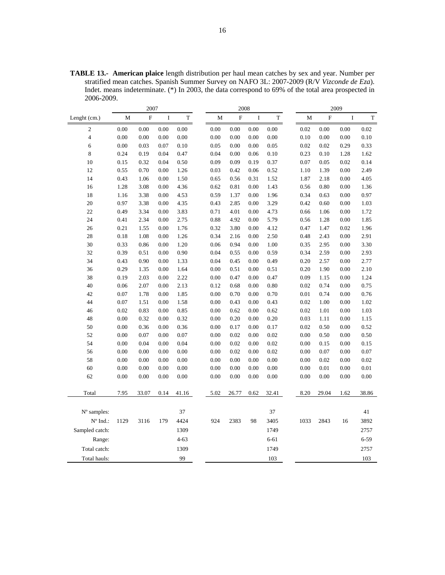**TABLE 13.- American plaice** length distribution per haul mean catches by sex and year. Number per stratified mean catches. Spanish Summer Survey on NAFO 3L: 2007-2009 (R/V *Vizconde de Eza*). Indet. means indeterminate. (\*) In 2003, the data correspond to 69% of the total area prospected in 2006-2009.

|                         | 2007 |       |         | 2008     |      |                           |         |          | 2009 |      |                         |             |       |
|-------------------------|------|-------|---------|----------|------|---------------------------|---------|----------|------|------|-------------------------|-------------|-------|
| Lenght (cm.)            | M    | F     | $\bf I$ | T        | M    | $\boldsymbol{\mathrm{F}}$ | $\bf I$ | T        |      | M    | $\overline{\mathrm{F}}$ | $\mathbf I$ | T     |
| $\mathfrak{2}$          | 0.00 | 0.00  | 0.00    | 0.00     | 0.00 | 0.00                      | 0.00    | 0.00     |      | 0.02 | 0.00                    | 0.00        | 0.02  |
| $\overline{\mathbf{4}}$ | 0.00 | 0.00  | 0.00    | 0.00     | 0.00 | 0.00                      | 0.00    | 0.00     |      | 0.10 | 0.00                    | 0.00        | 0.10  |
| 6                       | 0.00 | 0.03  | 0.07    | 0.10     | 0.05 | 0.00                      | 0.00    | 0.05     |      | 0.02 | 0.02                    | 0.29        | 0.33  |
| 8                       | 0.24 | 0.19  | 0.04    | 0.47     | 0.04 | 0.00                      | 0.06    | 0.10     |      | 0.23 | 0.10                    | 1.28        | 1.62  |
| 10                      | 0.15 | 0.32  | 0.04    | 0.50     | 0.09 | 0.09                      | 0.19    | 0.37     |      | 0.07 | 0.05                    | 0.02        | 0.14  |
| 12                      | 0.55 | 0.70  | 0.00    | 1.26     | 0.03 | 0.42                      | 0.06    | 0.52     |      | 1.10 | 1.39                    | 0.00        | 2.49  |
| 14                      | 0.43 | 1.06  | 0.00    | 1.50     | 0.65 | 0.56                      | 0.31    | 1.52     |      | 1.87 | 2.18                    | 0.00        | 4.05  |
| 16                      | 1.28 | 3.08  | 0.00    | 4.36     | 0.62 | 0.81                      | 0.00    | 1.43     |      | 0.56 | 0.80                    | 0.00        | 1.36  |
| 18                      | 1.16 | 3.38  | 0.00    | 4.53     | 0.59 | 1.37                      | 0.00    | 1.96     |      | 0.34 | 0.63                    | 0.00        | 0.97  |
| 20                      | 0.97 | 3.38  | 0.00    | 4.35     | 0.43 | 2.85                      | 0.00    | 3.29     |      | 0.42 | 0.60                    | 0.00        | 1.03  |
| 22                      | 0.49 | 3.34  | 0.00    | 3.83     | 0.71 | 4.01                      | 0.00    | 4.73     |      | 0.66 | 1.06                    | 0.00        | 1.72  |
| 24                      | 0.41 | 2.34  | 0.00    | 2.75     | 0.88 | 4.92                      | 0.00    | 5.79     |      | 0.56 | 1.28                    | 0.00        | 1.85  |
| 26                      | 0.21 | 1.55  | 0.00    | 1.76     | 0.32 | 3.80                      | 0.00    | 4.12     |      | 0.47 | 1.47                    | 0.02        | 1.96  |
| 28                      | 0.18 | 1.08  | 0.00    | 1.26     | 0.34 | 2.16                      | 0.00    | 2.50     |      | 0.48 | 2.43                    | 0.00        | 2.91  |
| 30                      | 0.33 | 0.86  | 0.00    | 1.20     | 0.06 | 0.94                      | 0.00    | 1.00     |      | 0.35 | 2.95                    | 0.00        | 3.30  |
| 32                      | 0.39 | 0.51  | 0.00    | 0.90     | 0.04 | 0.55                      | 0.00    | 0.59     |      | 0.34 | 2.59                    | 0.00        | 2.93  |
| 34                      | 0.43 | 0.90  | 0.00    | 1.33     | 0.04 | 0.45                      | 0.00    | 0.49     |      | 0.20 | 2.57                    | 0.00        | 2.77  |
| 36                      | 0.29 | 1.35  | 0.00    | 1.64     | 0.00 | 0.51                      | 0.00    | 0.51     |      | 0.20 | 1.90                    | 0.00        | 2.10  |
| 38                      | 0.19 | 2.03  | 0.00    | 2.22     | 0.00 | 0.47                      | 0.00    | 0.47     |      | 0.09 | 1.15                    | 0.00        | 1.24  |
| 40                      | 0.06 | 2.07  | 0.00    | 2.13     | 0.12 | 0.68                      | 0.00    | 0.80     |      | 0.02 | 0.74                    | 0.00        | 0.75  |
| 42                      | 0.07 | 1.78  | 0.00    | 1.85     | 0.00 | 0.70                      | 0.00    | 0.70     |      | 0.01 | 0.74                    | 0.00        | 0.76  |
| 44                      | 0.07 | 1.51  | 0.00    | 1.58     | 0.00 | 0.43                      | 0.00    | 0.43     |      | 0.02 | 1.00                    | 0.00        | 1.02  |
| 46                      | 0.02 | 0.83  | 0.00    | 0.85     | 0.00 | 0.62                      | 0.00    | 0.62     |      | 0.02 | 1.01                    | 0.00        | 1.03  |
| 48                      | 0.00 | 0.32  | 0.00    | 0.32     | 0.00 | 0.20                      | 0.00    | 0.20     |      | 0.03 | 1.11                    | 0.00        | 1.15  |
| 50                      | 0.00 | 0.36  | 0.00    | 0.36     | 0.00 | 0.17                      | 0.00    | 0.17     |      | 0.02 | 0.50                    | 0.00        | 0.52  |
| 52                      | 0.00 | 0.07  | 0.00    | 0.07     | 0.00 | 0.02                      | 0.00    | 0.02     |      | 0.00 | 0.50                    | 0.00        | 0.50  |
| 54                      | 0.00 | 0.04  | 0.00    | 0.04     | 0.00 | 0.02                      | 0.00    | 0.02     |      | 0.00 | 0.15                    | 0.00        | 0.15  |
| 56                      | 0.00 | 0.00  | 0.00    | 0.00     | 0.00 | 0.02                      | 0.00    | 0.02     |      | 0.00 | 0.07                    | 0.00        | 0.07  |
| 58                      | 0.00 | 0.00  | 0.00    | 0.00     | 0.00 | 0.00                      | 0.00    | 0.00     |      | 0.00 | 0.02                    | 0.00        | 0.02  |
| 60                      | 0.00 | 0.00  | 0.00    | 0.00     | 0.00 | 0.00                      | 0.00    | 0.00     |      | 0.00 | 0.01                    | 0.00        | 0.01  |
| 62                      | 0.00 | 0.00  | 0.00    | 0.00     | 0.00 | 0.00                      | 0.00    | 0.00     |      | 0.00 | 0.00                    | 0.00        | 0.00  |
|                         |      |       |         |          |      |                           |         |          |      |      |                         |             |       |
| Total                   | 7.95 | 33.07 | 0.14    | 41.16    | 5.02 | 26.77                     | 0.62    | 32.41    |      | 8.20 | 29.04                   | 1.62        | 38.86 |
| $N^{\circ}$ samples:    |      |       |         | 37       |      |                           |         | 37       |      |      |                         |             | 41    |
| N° Ind.:                | 1129 | 3116  | 179     | 4424     | 924  | 2383                      | 98      | 3405     |      | 1033 | 2843                    | 16          | 3892  |
| Sampled catch:          |      |       |         | 1309     |      |                           |         | 1749     |      |      |                         |             | 2757  |
| Range:                  |      |       |         | $4 - 63$ |      |                           |         | $6 - 61$ |      |      |                         |             | 6-59  |
| Total catch:            |      |       |         | 1309     |      |                           |         | 1749     |      |      |                         |             | 2757  |
|                         |      |       |         |          |      |                           |         |          |      |      |                         |             |       |
| Total hauls:            |      |       |         | 99       |      |                           |         | 103      |      |      |                         |             | 103   |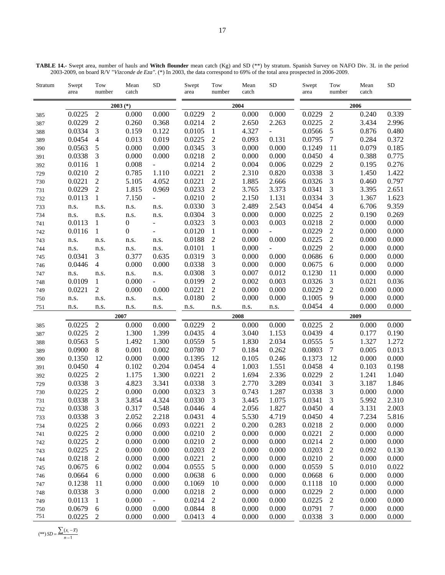| TABLE 14.- Swept area, number of hauls and Witch flounder mean catch (Kg) and SD (**) by stratum. Spanish Survey on NAFO Div. 3L in the period |                                                                                                                               |  |  |  |  |
|------------------------------------------------------------------------------------------------------------------------------------------------|-------------------------------------------------------------------------------------------------------------------------------|--|--|--|--|
|                                                                                                                                                | 2003-2009, on board R/V "Vizconde de Eza". (*) In 2003, the data correspond to 69% of the total area prospected in 2006-2009. |  |  |  |  |

| Stratum | Swept<br>area    | Tow<br>number  | Mean<br>catch    | ${\rm SD}$               | Swept<br>area | Tow<br>number            | Mean<br>catch | ${\rm SD}$               | Swept<br>area | Tow<br>number    | Mean<br>catch | ${\rm SD}$ |
|---------|------------------|----------------|------------------|--------------------------|---------------|--------------------------|---------------|--------------------------|---------------|------------------|---------------|------------|
|         |                  |                | $2003$ (*)       |                          |               |                          | 2004          |                          |               |                  | 2006          |            |
| 385     | 0.0225           | $\sqrt{2}$     | 0.000            | 0.000                    | 0.0229        | $\sqrt{2}$               | 0.000         | 0.000                    | 0.0229        | $\sqrt{2}$       | 0.240         | 0.339      |
| 387     | 0.0229           | $\sqrt{2}$     | 0.260            | 0.368                    | 0.0214        | $\mathfrak 2$            | 2.650         | 2.263                    | 0.0225        | $\sqrt{2}$       | 3.434         | 2.996      |
| 388     | 0.0334           | 3              | 0.159            | 0.122                    | 0.0105        | $\mathbf{1}$             | 4.327         | $\overline{\phantom{a}}$ | 0.0566        | $\sqrt{5}$       | 0.876         | 0.480      |
| 389     | 0.0454           | 4              | 0.013            | 0.019                    | 0.0225        | $\overline{c}$           | 0.093         | 0.131                    | 0.0795        | 7                | 0.284         | 0.372      |
| 390     | 0.0563           | 5              | 0.000            | 0.000                    | 0.0345        | 3                        | 0.000         | 0.000                    | 0.1249        | 11               | 0.079         | 0.185      |
| 391     | 0.0338           | 3              | 0.000            | 0.000                    | 0.0218        | $\overline{c}$           | 0.000         | 0.000                    | 0.0450        | $\overline{4}$   | 0.388         | 0.775      |
| 392     | 0.0116           | 1              | 0.008            | $\equiv$                 | 0.0214        | $\overline{c}$           | 0.004         | 0.006                    | 0.0229        | $\boldsymbol{2}$ | 0.195         | 0.276      |
| 729     | 0.0210           | $\mathfrak{2}$ | 0.785            | 1.110                    | 0.0221        | $\overline{c}$           | 2.310         | 0.820                    | 0.0338        | 3                | 1.450         | 1.422      |
| 730     | 0.0221           | $\overline{2}$ | 5.105            | 4.052                    | 0.0221        | $\sqrt{2}$               | 1.885         | 2.666                    | 0.0326        | 3                | 0.460         | 0.797      |
| 731     | 0.0229           | $\mathfrak 2$  | 1.815            | 0.969                    | 0.0233        | $\overline{c}$           | 3.765         | 3.373                    | 0.0341        | 3                | 3.395         | 2.651      |
| 732     | 0.0113           | 1              | 7.150            | ÷,                       | 0.0210        | $\boldsymbol{2}$         | 2.150         | 1.131                    | 0.0334        | $\mathfrak{Z}$   | 1.367         | 1.623      |
| 733     | n.s.             | n.s.           | n.s.             | n.s.                     | 0.0330        | $\mathfrak{Z}$           | 2.489         | 2.543                    | 0.0454        | $\overline{4}$   | 6.706         | 9.359      |
| 734     | n.s.             | n.s.           | n.s.             | n.s.                     | 0.0304        | $\mathfrak{Z}$           | 0.000         | 0.000                    | 0.0225        | $\mathfrak 2$    | 0.190         | 0.269      |
| 741     | 0.0113           | 1              | $\boldsymbol{0}$ | $\overline{\phantom{0}}$ | 0.0323        | 3                        | 0.003         | 0.003                    | 0.0218        | $\sqrt{2}$       | 0.000         | 0.000      |
| 742     | 0.0116           | 1              | $\boldsymbol{0}$ | ÷.                       | 0.0120        | $\mathbf{1}$             | 0.000         | $\equiv$                 | 0.0229        | $\sqrt{2}$       | 0.000         | 0.000      |
| 743     | n.s.             | n.s.           | n.s.             | n.s.                     | 0.0188        | $\overline{c}$           | 0.000         | 0.000                    | 0.0225        | $\sqrt{2}$       | 0.000         | 0.000      |
| 744     | n.s.             | n.s.           | n.s.             | n.s.                     | 0.0101        | $\mathbf{1}$             | 0.000         | $\blacksquare$           | 0.0229        | $\overline{c}$   | 0.000         | 0.000      |
| 745     | 0.0341           | 3              | 0.377            | 0.635                    | 0.0319        | 3                        | 0.000         | 0.000                    | 0.0686        | $\sqrt{6}$       | 0.000         | 0.000      |
| 746     | 0.0446           | $\overline{4}$ | 0.000            | 0.000                    | 0.0338        | 3                        | 0.000         | 0.000                    | 0.0675        | 6                | 0.000         | 0.000      |
| 747     | n.s.             | n.s.           | n.s.             | n.s.                     | 0.0308        | $\mathfrak{Z}$           | 0.007         | 0.012                    | 0.1230        | 11               | 0.000         | 0.000      |
| 748     | 0.0109           | 1              | 0.000            | $\overline{\phantom{a}}$ | 0.0199        | $\overline{2}$           | 0.002         | 0.003                    | 0.0326        | 3                | 0.021         | 0.036      |
| 749     | 0.0221           | $\sqrt{2}$     | 0.000            | 0.000                    | 0.0221        | $\boldsymbol{2}$         | 0.000         | 0.000                    | 0.0229        | $\sqrt{2}$       | 0.000         | 0.000      |
| 750     | n.s.             | n.s.           | n.s.             | n.s.                     | 0.0180        | $\mathfrak{2}$           | 0.000         | 0.000                    | 0.1005        | 9                | 0.000         | 0.000      |
| 751     | n.s.             | n.s.           | n.s.             | n.s.                     | n.s.          | n.s.                     | n.s.          | n.s.                     | 0.0454        | $\overline{4}$   | 0.000         | 0.000      |
|         |                  |                | 2007             |                          |               |                          | 2008          |                          |               |                  | 2009          |            |
| 385     | 0.0225           | $\sqrt{2}$     | 0.000            | 0.000                    | 0.0229        | $\sqrt{2}$               | 0.000         | 0.000                    | 0.0225        | $\sqrt{2}$       | 0.000         | 0.000      |
| 387     | 0.0225           | $\sqrt{2}$     | 1.300            | 1.399                    | 0.0435        | $\overline{4}$           | 3.040         | 1.153                    | 0.0439        | $\overline{4}$   | 0.177         | 0.190      |
| 388     | 0.0563           | $\sqrt{5}$     | 1.492            | 1.300                    | 0.0559        | 5                        | 1.830         | 2.034                    | 0.0555        | $\sqrt{5}$       | 1.327         | 1.272      |
| 389     | 0.0900           | $\,8\,$        | 0.001            | 0.002                    | 0.0780        | 7                        | 0.184         | 0.262                    | 0.0803        | $\boldsymbol{7}$ | 0.005         | 0.013      |
| 390     | 0.1350           | 12             | 0.000            | 0.000                    | 0.1395        | 12                       | 0.105         | 0.246                    | 0.1373        | 12               | 0.000         | 0.000      |
| 391     | 0.0450           | $\overline{4}$ | 0.102            | 0.204                    | 0.0454        | $\overline{\mathcal{A}}$ | 1.003         | 1.551                    | 0.0458        | $\overline{4}$   | 0.103         | 0.198      |
| 392     | 0.0225           | $\overline{2}$ | 1.175            | 1.300                    | 0.0221        | $\overline{c}$           | 1.694         | 2.336                    | 0.0229        | $\mathbf{2}$     | 1.241         | 1.040      |
| 729     | 0.0338           | 3              | 4.823            | 3.341                    | 0.0338        | 3                        | 2.770         | 3.289                    | 0.0341        | 3                | 3.187         | 1.846      |
| 730     | 0.0225           | $\overline{2}$ | 0.000            | 0.000                    | 0.0323        | 3                        | 0.743         | 1.287                    | 0.0338        | 3                | 0.000         | 0.000      |
| 731     | 0.0338           | 3              | 3.854            | 4.324                    | 0.0330        | 3                        | 3.445         | 1.075                    | 0.0341        | 3                | 5.992         | 2.310      |
| 732     | 0.0338           | $\mathfrak{Z}$ | 0.317            | 0.548                    | 0.0446        | $\overline{\mathbf{4}}$  | 2.056         | 1.827                    | 0.0450        | $\overline{4}$   | 3.131         | 2.003      |
| 733     | 0.0338           | 3              | 2.052            | 2.218                    | 0.0431        | 4                        | 5.530         | 4.719                    | 0.0450        | 4                | 7.234         | 5.816      |
| 734     | 0.0225           | 2              | 0.066            | 0.093                    | 0.0221        | 2                        | 0.200         | 0.283                    | 0.0218        | $\overline{c}$   | 0.000         | 0.000      |
| 741     | 0.0225           | $\overline{c}$ | 0.000            | 0.000                    | 0.0210        | $\overline{c}$           | 0.000         | 0.000                    | 0.0221        | 2                | 0.000         | 0.000      |
| 742     | 0.0225           | $\overline{c}$ | 0.000            | 0.000                    | 0.0210        | $\overline{c}$           | 0.000         | 0.000                    | 0.0214        | $\mathbf{2}$     | 0.000         | 0.000      |
| 743     | 0.0225           | $\overline{c}$ | 0.000            | 0.000                    | 0.0203        | $\overline{c}$           | 0.000         | 0.000                    | 0.0203        | $\boldsymbol{2}$ | 0.092         | 0.130      |
| 744     | 0.0218           | $\overline{c}$ | 0.000            | 0.000                    | 0.0221        | $\overline{c}$           | 0.000         | 0.000                    | 0.0210        | $\overline{c}$   | 0.000         | 0.000      |
| 745     | 0.0675           | 6              | 0.002            | 0.004                    | 0.0555        | 5                        | 0.000         | 0.000                    | 0.0559        | 5                | 0.010         | 0.022      |
| 746     | 0.0664           | 6              | 0.000            | 0.000                    | 0.0638        | 6                        | 0.000         | 0.000                    | 0.0668        | 6                | 0.000         | 0.000      |
| 747     | 0.1238           | 11             | 0.000            | 0.000                    | 0.1069        | 10                       | 0.000         | 0.000                    | 0.1118        | 10               | 0.000         | 0.000      |
| 748     | 0.0338           | 3              | 0.000            | 0.000                    | 0.0218        | 2                        | 0.000         | 0.000                    | 0.0229        | 2                | 0.000         | 0.000      |
| 749     | 0.0113           | $\mathbf{1}$   | 0.000            | $\blacksquare$           | 0.0214        | $\overline{c}$           | 0.000         | 0.000                    | 0.0225        | 2                | 0.000         | 0.000      |
|         |                  |                |                  |                          |               |                          |               |                          |               |                  |               |            |
| 750     | 0.0679<br>0.0225 | 6              | 0.000<br>0.000   | 0.000                    | 0.0844        | 8                        | 0.000         | 0.000                    | 0.0791        | 7                | 0.000         | 0.000      |

 $(**)$  *SD* =  $\frac{\sum (x_i - \overline{x})}{n-1}$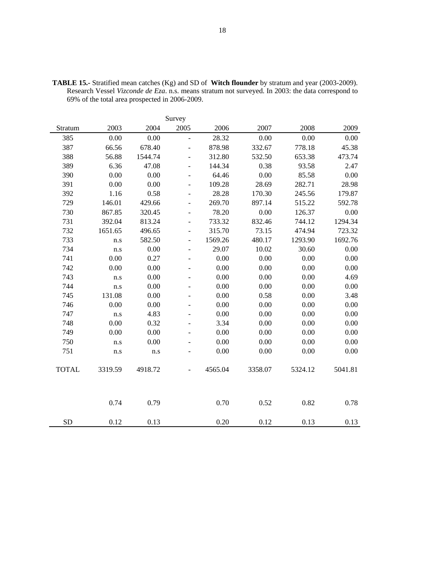| Survey       |         |         |                          |         |         |         |         |  |  |  |  |
|--------------|---------|---------|--------------------------|---------|---------|---------|---------|--|--|--|--|
| Stratum      | 2003    | 2004    | 2005                     | 2006    | 2007    | 2008    | 2009    |  |  |  |  |
| 385          | 0.00    | 0.00    | $\frac{1}{2}$            | 28.32   | 0.00    | 0.00    | 0.00    |  |  |  |  |
| 387          | 66.56   | 678.40  | $\overline{a}$           | 878.98  | 332.67  | 778.18  | 45.38   |  |  |  |  |
| 388          | 56.88   | 1544.74 | $\overline{\phantom{a}}$ | 312.80  | 532.50  | 653.38  | 473.74  |  |  |  |  |
| 389          | 6.36    | 47.08   | $\overline{a}$           | 144.34  | 0.38    | 93.58   | 2.47    |  |  |  |  |
| 390          | 0.00    | 0.00    | $\overline{\phantom{a}}$ | 64.46   | 0.00    | 85.58   | 0.00    |  |  |  |  |
| 391          | 0.00    | 0.00    | $\overline{a}$           | 109.28  | 28.69   | 282.71  | 28.98   |  |  |  |  |
| 392          | 1.16    | 0.58    | $\overline{\phantom{0}}$ | 28.28   | 170.30  | 245.56  | 179.87  |  |  |  |  |
| 729          | 146.01  | 429.66  | ÷,                       | 269.70  | 897.14  | 515.22  | 592.78  |  |  |  |  |
| 730          | 867.85  | 320.45  | ÷,                       | 78.20   | 0.00    | 126.37  | 0.00    |  |  |  |  |
| 731          | 392.04  | 813.24  | $\overline{\phantom{a}}$ | 733.32  | 832.46  | 744.12  | 1294.34 |  |  |  |  |
| 732          | 1651.65 | 496.65  | $\overline{a}$           | 315.70  | 73.15   | 474.94  | 723.32  |  |  |  |  |
| 733          | n.s     | 582.50  | $\overline{\phantom{a}}$ | 1569.26 | 480.17  | 1293.90 | 1692.76 |  |  |  |  |
| 734          | n.s     | 0.00    | $\overline{a}$           | 29.07   | 10.02   | 30.60   | 0.00    |  |  |  |  |
| 741          | 0.00    | 0.27    | $\overline{\phantom{a}}$ | 0.00    | 0.00    | 0.00    | 0.00    |  |  |  |  |
| 742          | 0.00    | 0.00    | $\overline{\phantom{a}}$ | 0.00    | 0.00    | 0.00    | 0.00    |  |  |  |  |
| 743          | n.s     | 0.00    | $\overline{\phantom{0}}$ | 0.00    | 0.00    | 0.00    | 4.69    |  |  |  |  |
| 744          | n.s     | 0.00    | ÷,                       | 0.00    | 0.00    | 0.00    | 0.00    |  |  |  |  |
| 745          | 131.08  | 0.00    | -                        | 0.00    | 0.58    | 0.00    | 3.48    |  |  |  |  |
| 746          | 0.00    | 0.00    | $\overline{\phantom{m}}$ | 0.00    | 0.00    | 0.00    | 0.00    |  |  |  |  |
| 747          | n.s     | 4.83    | $\overline{\phantom{0}}$ | 0.00    | 0.00    | 0.00    | 0.00    |  |  |  |  |
| 748          | 0.00    | 0.32    | $\overline{\phantom{a}}$ | 3.34    | 0.00    | 0.00    | 0.00    |  |  |  |  |
| 749          | 0.00    | 0.00    | $\overline{\phantom{a}}$ | 0.00    | 0.00    | 0.00    | 0.00    |  |  |  |  |
| 750          | n.s     | 0.00    | ۰                        | 0.00    | 0.00    | 0.00    | 0.00    |  |  |  |  |
| 751          | n.s     | n.s     | ÷,                       | 0.00    | 0.00    | 0.00    | 0.00    |  |  |  |  |
| <b>TOTAL</b> | 3319.59 | 4918.72 |                          | 4565.04 | 3358.07 | 5324.12 | 5041.81 |  |  |  |  |
|              | 0.74    | 0.79    |                          | 0.70    | 0.52    | 0.82    | 0.78    |  |  |  |  |
| <b>SD</b>    | 0.12    | 0.13    |                          | 0.20    | 0.12    | 0.13    | 0.13    |  |  |  |  |

**TABLE 15.-** Stratified mean catches (Kg) and SD of **Witch flounder** by stratum and year (2003-2009). Research Vessel *Vizconde de Eza*. n.s. means stratum not surveyed. In 2003: the data correspond to 69% of the total area prospected in 2006-2009.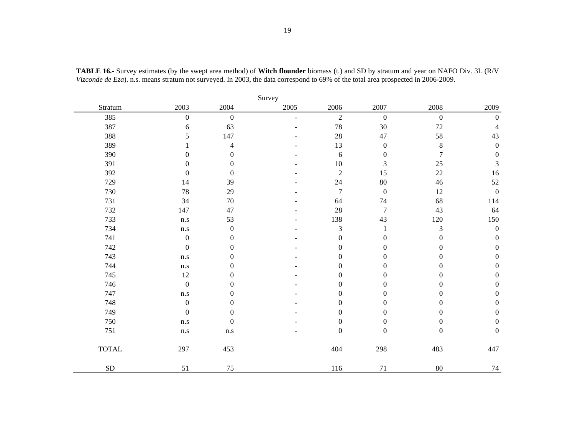|              | Survey                  |                         |      |                  |                  |                  |                  |  |  |  |  |  |  |
|--------------|-------------------------|-------------------------|------|------------------|------------------|------------------|------------------|--|--|--|--|--|--|
| Stratum      | 2003                    | 2004                    | 2005 | 2006             | 2007             | 2008             | 2009             |  |  |  |  |  |  |
| 385          | $\boldsymbol{0}$        | $\boldsymbol{0}$        | ۳    | $\overline{2}$   | $\boldsymbol{0}$ | $\boldsymbol{0}$ | $\boldsymbol{0}$ |  |  |  |  |  |  |
| 387          | 6                       | 63                      |      | 78               | $30\,$           | $72\,$           | $\overline{4}$   |  |  |  |  |  |  |
| 388          | 5                       | 147                     |      | 28               | 47               | 58               | 43               |  |  |  |  |  |  |
| 389          |                         | 4                       |      | 13               | $\boldsymbol{0}$ | $\bf 8$          | $\boldsymbol{0}$ |  |  |  |  |  |  |
| 390          | $\boldsymbol{0}$        | $\boldsymbol{0}$        |      | 6                | $\boldsymbol{0}$ | $\tau$           | $\boldsymbol{0}$ |  |  |  |  |  |  |
| 391          | $\overline{0}$          | $\mathbf{0}$            |      | $10\,$           | 3                | 25               | $\mathfrak{Z}$   |  |  |  |  |  |  |
| 392          | $\boldsymbol{0}$        | $\boldsymbol{0}$        |      | $\overline{2}$   | 15               | 22               | 16               |  |  |  |  |  |  |
| 729          | 14                      | 39                      |      | 24               | $80\,$           | $46\,$           | 52               |  |  |  |  |  |  |
| 730          | $78\,$                  | 29                      |      | $\boldsymbol{7}$ | $\boldsymbol{0}$ | $12\,$           | $\boldsymbol{0}$ |  |  |  |  |  |  |
| 731          | 34                      | 70                      |      | 64               | 74               | 68               | 114              |  |  |  |  |  |  |
| 732          | 147                     | 47                      |      | 28               | $\boldsymbol{7}$ | 43               | 64               |  |  |  |  |  |  |
| 733          | n.s                     | 53                      |      | 138              | 43               | 120              | 150              |  |  |  |  |  |  |
| 734          | $\mathbf{n}.\mathbf{s}$ | $\boldsymbol{0}$        |      | $\mathfrak 3$    | 1                | $\mathfrak{Z}$   | $\boldsymbol{0}$ |  |  |  |  |  |  |
| 741          | $\boldsymbol{0}$        | $\boldsymbol{0}$        |      | $\boldsymbol{0}$ | $\boldsymbol{0}$ | $\boldsymbol{0}$ | $\boldsymbol{0}$ |  |  |  |  |  |  |
| 742          | $\boldsymbol{0}$        | $\theta$                |      | $\boldsymbol{0}$ | $\boldsymbol{0}$ | $\boldsymbol{0}$ | $\boldsymbol{0}$ |  |  |  |  |  |  |
| 743          | $\mathbf{n}.\mathbf{s}$ | $\theta$                |      | $\boldsymbol{0}$ | $\boldsymbol{0}$ | $\boldsymbol{0}$ | $\boldsymbol{0}$ |  |  |  |  |  |  |
| 744          | $\mathbf{n}.\mathbf{s}$ | $\boldsymbol{0}$        |      | $\boldsymbol{0}$ | $\boldsymbol{0}$ | $\boldsymbol{0}$ | $\boldsymbol{0}$ |  |  |  |  |  |  |
| 745          | $12\,$                  | $\boldsymbol{0}$        |      | $\boldsymbol{0}$ | $\boldsymbol{0}$ | $\boldsymbol{0}$ | $\boldsymbol{0}$ |  |  |  |  |  |  |
| 746          | $\boldsymbol{0}$        | $\theta$                |      | $\boldsymbol{0}$ | $\boldsymbol{0}$ | $\boldsymbol{0}$ | $\boldsymbol{0}$ |  |  |  |  |  |  |
| 747          | n.s                     | $\theta$                |      | $\boldsymbol{0}$ | $\boldsymbol{0}$ | $\boldsymbol{0}$ | $\boldsymbol{0}$ |  |  |  |  |  |  |
| 748          | $\boldsymbol{0}$        | $\theta$                |      | $\boldsymbol{0}$ | $\boldsymbol{0}$ | $\boldsymbol{0}$ | $\boldsymbol{0}$ |  |  |  |  |  |  |
| 749          | $\boldsymbol{0}$        | $\boldsymbol{0}$        |      | $\boldsymbol{0}$ | $\boldsymbol{0}$ | $\boldsymbol{0}$ | $\boldsymbol{0}$ |  |  |  |  |  |  |
| 750          | $\rm n.s$               | $\boldsymbol{0}$        |      | $\boldsymbol{0}$ | $\boldsymbol{0}$ | $\boldsymbol{0}$ | $\boldsymbol{0}$ |  |  |  |  |  |  |
| 751          | $\mathbf{n}.\mathbf{s}$ | $\mathbf{n}.\mathbf{s}$ |      | $\boldsymbol{0}$ | $\boldsymbol{0}$ | $\boldsymbol{0}$ | $\boldsymbol{0}$ |  |  |  |  |  |  |
| <b>TOTAL</b> | 297                     | 453                     |      | 404              | 298              | 483              | 447              |  |  |  |  |  |  |
| ${\rm SD}$   | 51                      | $75\,$                  |      | 116              | 71               | $80\,$           | 74               |  |  |  |  |  |  |

**TABLE 16.-** Survey estimates (by the swept area method) of **Witch flounder** biomass (t.) and SD by stratum and year on NAFO Div. 3L (R/V *Vizconde de Eza*). n.s. means stratum not surveyed. In 2003, the data correspond to 69% of the total area prospected in 2006-2009.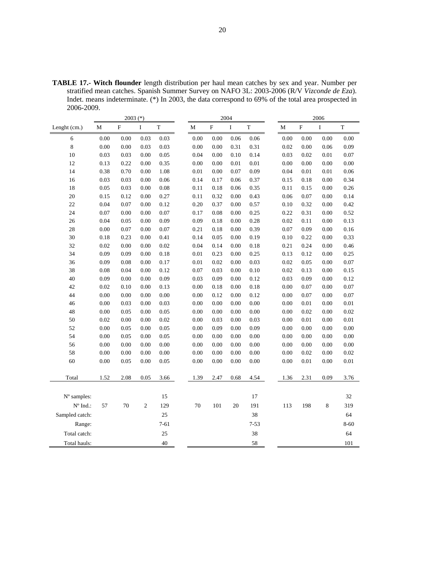**TABLE 17.- Witch flounder** length distribution per haul mean catches by sex and year. Number per stratified mean catches. Spanish Summer Survey on NAFO 3L: 2003-2006 (R/V *Vizconde de Eza*). Indet. means indeterminate. (\*) In 2003, the data correspond to 69% of the total area prospected in 2006-2009.

|                   |          | 2003 $(*)$ |                |             | 2004 |          |                           |         | 2006        |          |          |          |          |
|-------------------|----------|------------|----------------|-------------|------|----------|---------------------------|---------|-------------|----------|----------|----------|----------|
| Lenght (cm.)      | M        | ${\bf F}$  | $\bf I$        | $\mathbf T$ |      | М        | $\boldsymbol{\mathrm{F}}$ | $\bf I$ | $\mathbf T$ | М        | $\rm F$  | $\rm I$  | $\rm T$  |
| 6                 | 0.00     | 0.00       | 0.03           | 0.03        |      | 0.00     | 0.00                      | 0.06    | $0.06\,$    | $0.00\,$ | 0.00     | 0.00     | 0.00     |
| $\,$ 8 $\,$       | $0.00\,$ | 0.00       | 0.03           | 0.03        |      | $0.00\,$ | 0.00                      | 0.31    | 0.31        | 0.02     | 0.00     | 0.06     | 0.09     |
| 10                | 0.03     | 0.03       | 0.00           | 0.05        |      | 0.04     | 0.00                      | 0.10    | 0.14        | 0.03     | 0.02     | 0.01     | 0.07     |
| 12                | 0.13     | 0.22       | 0.00           | 0.35        |      | 0.00     | 0.00                      | 0.01    | $0.01\,$    | $0.00\,$ | 0.00     | 0.00     | 0.00     |
| 14                | 0.38     | 0.70       | 0.00           | 1.08        |      | $0.01\,$ | 0.00                      | 0.07    | 0.09        | 0.04     | $0.01\,$ | $0.01\,$ | 0.06     |
| 16                | 0.03     | 0.03       | 0.00           | 0.06        |      | 0.14     | 0.17                      | 0.06    | 0.37        | 0.15     | 0.18     | 0.00     | 0.34     |
| 18                | 0.05     | 0.03       | 0.00           | 0.08        |      | 0.11     | 0.18                      | 0.06    | 0.35        | 0.11     | 0.15     | 0.00     | 0.26     |
| 20                | 0.15     | 0.12       | 0.00           | 0.27        |      | 0.11     | 0.32                      | 0.00    | 0.43        | 0.06     | 0.07     | 0.00     | 0.14     |
| 22                | 0.04     | 0.07       | 0.00           | 0.12        |      | 0.20     | 0.37                      | 0.00    | 0.57        | 0.10     | 0.32     | 0.00     | 0.42     |
| 24                | 0.07     | 0.00       | 0.00           | 0.07        |      | 0.17     | 0.08                      | 0.00    | 0.25        | 0.22     | 0.31     | 0.00     | 0.52     |
| 26                | 0.04     | 0.05       | 0.00           | 0.09        |      | 0.09     | 0.18                      | 0.00    | 0.28        | 0.02     | 0.11     | 0.00     | 0.13     |
| 28                | 0.00     | 0.07       | 0.00           | 0.07        |      | 0.21     | 0.18                      | 0.00    | 0.39        | 0.07     | 0.09     | 0.00     | 0.16     |
| 30                | 0.18     | 0.23       | 0.00           | 0.41        |      | 0.14     | 0.05                      | 0.00    | 0.19        | 0.10     | 0.22     | 0.00     | 0.33     |
| 32                | 0.02     | 0.00       | 0.00           | 0.02        |      | 0.04     | 0.14                      | 0.00    | 0.18        | 0.21     | 0.24     | 0.00     | 0.46     |
| 34                | 0.09     | 0.09       | 0.00           | 0.18        |      | $0.01\,$ | 0.23                      | 0.00    | 0.25        | 0.13     | 0.12     | 0.00     | 0.25     |
| 36                | 0.09     | 0.08       | 0.00           | 0.17        |      | $0.01\,$ | 0.02                      | 0.00    | 0.03        | 0.02     | 0.05     | 0.00     | 0.07     |
| 38                | 0.08     | 0.04       | 0.00           | 0.12        |      | 0.07     | 0.03                      | 0.00    | 0.10        | 0.02     | 0.13     | 0.00     | 0.15     |
| 40                | 0.09     | 0.00       | 0.00           | 0.09        |      | 0.03     | 0.09                      | 0.00    | 0.12        | 0.03     | 0.09     | 0.00     | 0.12     |
| 42                | 0.02     | 0.10       | 0.00           | 0.13        |      | $0.00\,$ | 0.18                      | 0.00    | 0.18        | $0.00\,$ | 0.07     | 0.00     | 0.07     |
| 44                | 0.00     | 0.00       | 0.00           | 0.00        |      | 0.00     | 0.12                      | 0.00    | 0.12        | 0.00     | 0.07     | 0.00     | 0.07     |
| 46                | 0.00     | 0.03       | 0.00           | 0.03        |      | 0.00     | 0.00                      | 0.00    | 0.00        | 0.00     | 0.01     | 0.00     | 0.01     |
| 48                | 0.00     | 0.05       | 0.00           | 0.05        |      | $0.00\,$ | 0.00                      | 0.00    | $0.00\,$    | $0.00\,$ | 0.02     | 0.00     | 0.02     |
| 50                | 0.02     | 0.00       | 0.00           | 0.02        |      | 0.00     | 0.03                      | 0.00    | 0.03        | 0.00     | 0.01     | 0.00     | $0.01\,$ |
| 52                | 0.00     | 0.05       | 0.00           | 0.05        |      | 0.00     | 0.09                      | 0.00    | 0.09        | 0.00     | 0.00     | 0.00     | 0.00     |
| 54                | 0.00     | 0.05       | 0.00           | 0.05        |      | 0.00     | 0.00                      | 0.00    | 0.00        | 0.00     | 0.00     | 0.00     | 0.00     |
| 56                | 0.00     | 0.00       | 0.00           | 0.00        |      | $0.00\,$ | 0.00                      | 0.00    | $0.00\,$    | 0.00     | 0.00     | 0.00     | $0.00\,$ |
| 58                | 0.00     | 0.00       | 0.00           | 0.00        |      | 0.00     | 0.00                      | 0.00    | 0.00        | 0.00     | 0.02     | 0.00     | 0.02     |
| 60                | 0.00     | 0.05       | 0.00           | 0.05        |      | 0.00     | 0.00                      | 0.00    | 0.00        | 0.00     | 0.01     | 0.00     | 0.01     |
| Total             | 1.52     | 2.08       | 0.05           | 3.66        |      | 1.39     | 2.47                      | 0.68    | 4.54        | 1.36     | 2.31     | 0.09     | 3.76     |
|                   |          |            |                |             |      |          |                           |         |             |          |          |          |          |
| N° samples:       |          |            |                | 15          |      |          |                           |         | 17          |          |          |          | 32       |
| $N^{\circ}$ Ind.: | 57       | 70         | $\overline{c}$ | 129         |      | 70       | 101                       | 20      | 191         | 113      | 198      | 8        | 319      |
| Sampled catch:    |          |            |                | 25          |      |          |                           |         | 38          |          |          |          | 64       |
| Range:            |          |            |                | $7 - 61$    |      |          |                           |         | $7 - 53$    |          |          |          | $8 - 60$ |
| Total catch:      |          |            |                | 25          |      |          |                           |         | 38          |          |          |          | 64       |
| Total hauls:      |          |            |                | 40          |      |          |                           |         | 58          |          |          |          | 101      |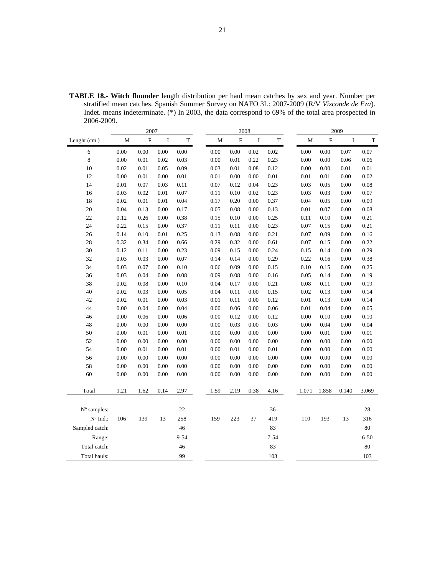**TABLE 18.- Witch flounder** length distribution per haul mean catches by sex and year. Number per stratified mean catches. Spanish Summer Survey on NAFO 3L: 2007-2009 (R/V *Vizconde de Eza*). Indet. means indeterminate. (\*) In 2003, the data correspond to 69% of the total area prospected in 2006-2009.

|                | 2007        |           |          | 2008        |          |             |         |          | 2009 |          |           |          |             |
|----------------|-------------|-----------|----------|-------------|----------|-------------|---------|----------|------|----------|-----------|----------|-------------|
| Lenght (cm.)   | $\mathbf M$ | ${\bf F}$ | $\bf I$  | $\mathbf T$ | M        | $\mathbf F$ | $\bf I$ | T        |      | М        | ${\bf F}$ | $\bf I$  | $\mathbf T$ |
| 6              | 0.00        | 0.00      | 0.00     | 0.00        | 0.00     | 0.00        | 0.02    | 0.02     |      | 0.00     | 0.00      | 0.07     | 0.07        |
| $\,$ 8 $\,$    | 0.00        | 0.01      | 0.02     | 0.03        | 0.00     | 0.01        | 0.22    | 0.23     |      | $0.00\,$ | 0.00      | 0.06     | 0.06        |
| 10             | 0.02        | $0.01\,$  | 0.05     | 0.09        | 0.03     | $0.01\,$    | 0.08    | 0.12     |      | 0.00     | 0.00      | $0.01\,$ | $0.01\,$    |
| 12             | 0.00        | 0.01      | 0.00     | 0.01        | 0.01     | 0.00        | 0.00    | 0.01     |      | 0.01     | 0.01      | 0.00     | 0.02        |
| 14             | 0.01        | 0.07      | 0.03     | 0.11        | 0.07     | 0.12        | 0.04    | 0.23     |      | 0.03     | 0.05      | 0.00     | 0.08        |
| 16             | 0.03        | 0.02      | $0.01\,$ | 0.07        | 0.11     | 0.10        | 0.02    | 0.23     |      | 0.03     | 0.03      | $0.00\,$ | 0.07        |
| 18             | 0.02        | 0.01      | $0.01\,$ | 0.04        | 0.17     | 0.20        | 0.00    | 0.37     |      | 0.04     | 0.05      | 0.00     | 0.09        |
| 20             | 0.04        | 0.13      | 0.00     | 0.17        | 0.05     | 0.08        | 0.00    | 0.13     |      | $0.01\,$ | 0.07      | $0.00\,$ | 0.08        |
| 22             | 0.12        | 0.26      | 0.00     | 0.38        | 0.15     | 0.10        | 0.00    | 0.25     |      | 0.11     | 0.10      | 0.00     | 0.21        |
| 24             | 0.22        | 0.15      | 0.00     | 0.37        | 0.11     | 0.11        | 0.00    | 0.23     |      | 0.07     | 0.15      | 0.00     | 0.21        |
| 26             | 0.14        | 0.10      | $0.01\,$ | 0.25        | 0.13     | 0.08        | 0.00    | 0.21     |      | 0.07     | 0.09      | 0.00     | 0.16        |
| 28             | 0.32        | 0.34      | 0.00     | 0.66        | 0.29     | 0.32        | 0.00    | 0.61     |      | 0.07     | 0.15      | 0.00     | 0.22        |
| 30             | 0.12        | 0.11      | 0.00     | 0.23        | 0.09     | 0.15        | 0.00    | 0.24     |      | 0.15     | 0.14      | 0.00     | 0.29        |
| 32             | 0.03        | 0.03      | 0.00     | 0.07        | 0.14     | 0.14        | 0.00    | 0.29     |      | 0.22     | 0.16      | 0.00     | 0.38        |
| 34             | 0.03        | 0.07      | 0.00     | 0.10        | 0.06     | 0.09        | 0.00    | 0.15     |      | 0.10     | 0.15      | 0.00     | 0.25        |
| 36             | 0.03        | 0.04      | 0.00     | 0.08        | 0.09     | 0.08        | 0.00    | 0.16     |      | 0.05     | 0.14      | $0.00\,$ | 0.19        |
| 38             | 0.02        | 0.08      | 0.00     | 0.10        | 0.04     | 0.17        | 0.00    | 0.21     |      | 0.08     | 0.11      | 0.00     | 0.19        |
| 40             | 0.02        | 0.03      | 0.00     | 0.05        | 0.04     | 0.11        | 0.00    | 0.15     |      | 0.02     | 0.13      | $0.00\,$ | 0.14        |
| 42             | 0.02        | 0.01      | 0.00     | 0.03        | $0.01\,$ | 0.11        | 0.00    | 0.12     |      | $0.01\,$ | 0.13      | $0.00\,$ | 0.14        |
| 44             | $0.00\,$    | 0.04      | 0.00     | 0.04        | 0.00     | 0.06        | 0.00    | 0.06     |      | 0.01     | 0.04      | 0.00     | 0.05        |
| 46             | $0.00\,$    | 0.06      | 0.00     | 0.06        | $0.00\,$ | 0.12        | 0.00    | 0.12     |      | 0.00     | 0.10      | $0.00\,$ | 0.10        |
| 48             | 0.00        | 0.00      | 0.00     | 0.00        | 0.00     | 0.03        | 0.00    | 0.03     |      | 0.00     | 0.04      | 0.00     | 0.04        |
| 50             | 0.00        | 0.01      | 0.00     | 0.01        | 0.00     | 0.00        | 0.00    | 0.00     |      | 0.00     | 0.01      | 0.00     | $0.01\,$    |
| 52             | $0.00\,$    | 0.00      | 0.00     | 0.00        | 0.00     | 0.00        | 0.00    | 0.00     |      | 0.00     | 0.00      | $0.00\,$ | 0.00        |
| 54             | 0.00        | 0.01      | 0.00     | 0.01        | 0.00     | 0.01        | 0.00    | 0.01     |      | 0.00     | 0.00      | 0.00     | 0.00        |
| 56             | $0.00\,$    | 0.00      | 0.00     | $0.00\,$    | 0.00     | 0.00        | 0.00    | 0.00     |      | 0.00     | $0.00\,$  | $0.00\,$ | 0.00        |
| 58             | 0.00        | 0.00      | 0.00     | 0.00        | 0.00     | 0.00        | 0.00    | 0.00     |      | 0.00     | 0.00      | 0.00     | 0.00        |
| 60             | $0.00\,$    | 0.00      | 0.00     | 0.00        | 0.00     | 0.00        | 0.00    | 0.00     |      | 0.00     | 0.00      | 0.00     | 0.00        |
| Total          | 1.21        | 1.62      | 0.14     | 2.97        | 1.59     | 2.19        | 0.38    | 4.16     |      | 1.071    | 1.858     | 0.140    | 3.069       |
|                |             |           |          |             |          |             |         |          |      |          |           |          |             |
| N° samples:    |             |           |          | 22          |          |             |         | 36       |      |          |           |          | 28          |
| N° Ind.:       | 106         | 139       | 13       | 258         | 159      | 223         | 37      | 419      |      | 110      | 193       | 13       | 316         |
| Sampled catch: |             |           |          | 46          |          |             |         | 83       |      |          |           |          | 80          |
| Range:         |             |           |          | 9-54        |          |             |         | $7 - 54$ |      |          |           |          | $6 - 50$    |
| Total catch:   |             |           |          | 46          |          |             |         | 83       |      |          |           |          | 80          |
| Total hauls:   |             |           |          | 99          |          |             |         | 103      |      |          |           |          | 103         |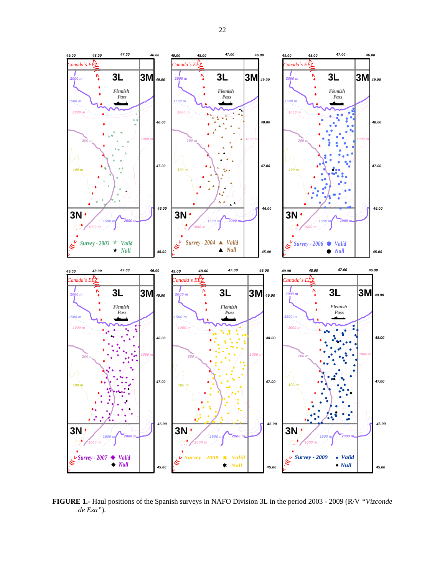

**FIGURE 1.-** Haul positions of the Spanish surveys in NAFO Division 3L in the period 2003 - 2009 (R/V *"Vizconde de Eza"*).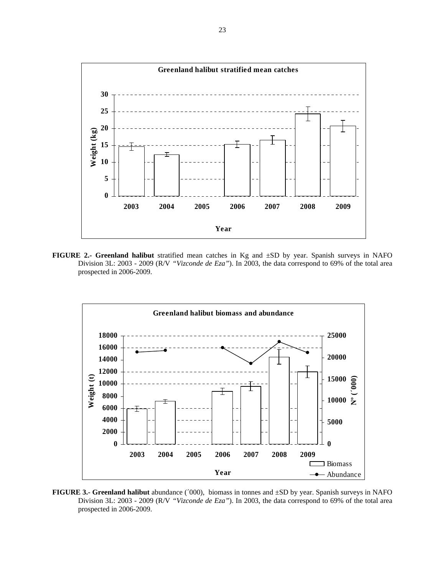

**FIGURE 2.- Greenland halibut** stratified mean catches in Kg and ±SD by year. Spanish surveys in NAFO Division 3L: 2003 - 2009 (R/V *"Vizconde de Eza"*). In 2003, the data correspond to 69% of the total area prospected in 2006-2009.



**FIGURE 3.- Greenland halibut** abundance (´000), biomass in tonnes and ±SD by year. Spanish surveys in NAFO Division 3L: 2003 - 2009 (R/V *"Vizconde de Eza"*). In 2003, the data correspond to 69% of the total area prospected in 2006-2009.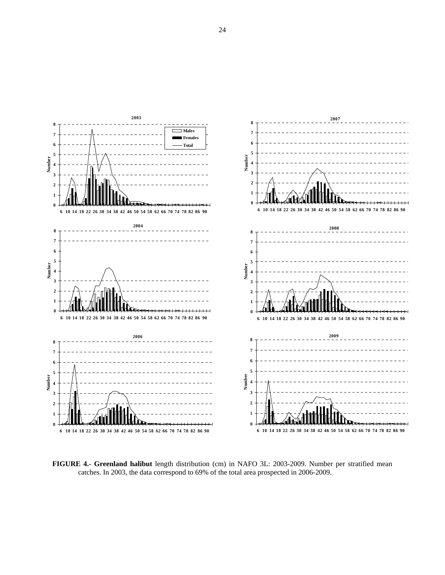

**FIGURE 4.- Greenland halibut** length distribution (cm) in NAFO 3L: 2003-2009. Number per stratified mean catches. In 2003, the data correspond to 69% of the total area prospected in 2006-2009.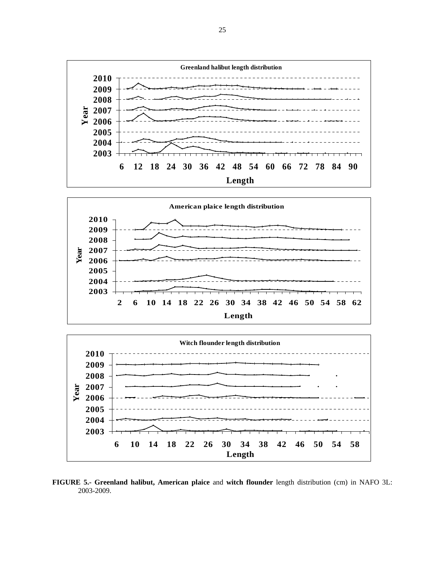





**FIGURE 5.- Greenland halibut, American plaice** and **witch flounder** length distribution (cm) in NAFO 3L: 2003-2009.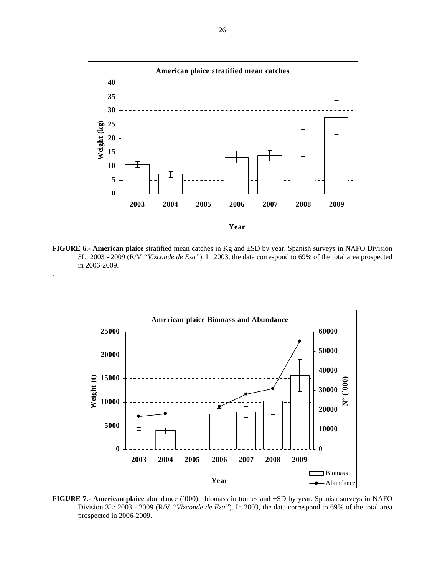

**FIGURE 6.- American plaice** stratified mean catches in Kg and ±SD by year. Spanish surveys in NAFO Division 3L: 2003 - 2009 (R/V *"Vizconde de Eza"*). In 2003, the data correspond to 69% of the total area prospected in 2006-2009.

.



**FIGURE 7.- American plaice** abundance (´000), biomass in tonnes and ±SD by year. Spanish surveys in NAFO Division 3L: 2003 - 2009 (R/V *"Vizconde de Eza"*). In 2003, the data correspond to 69% of the total area prospected in 2006-2009.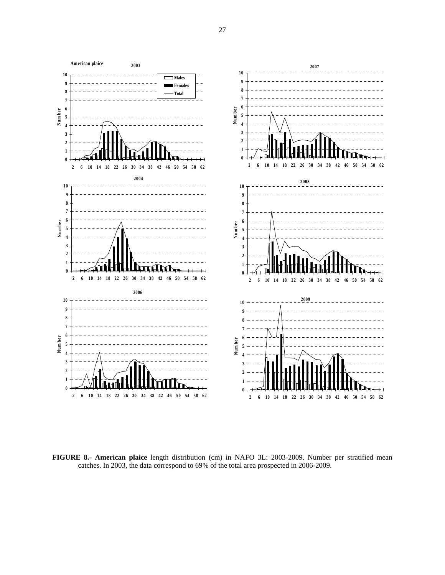

**FIGURE 8.- American plaice** length distribution (cm) in NAFO 3L: 2003-2009. Number per stratified mean catches. In 2003, the data correspond to 69% of the total area prospected in 2006-2009.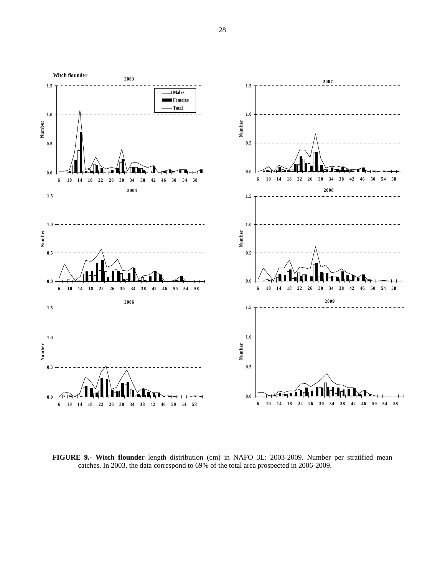

**FIGURE 9.- Witch flounder** length distribution (cm) in NAFO 3L: 2003-2009. Number per stratified mean catches. In 2003, the data correspond to 69% of the total area prospected in 2006-2009.